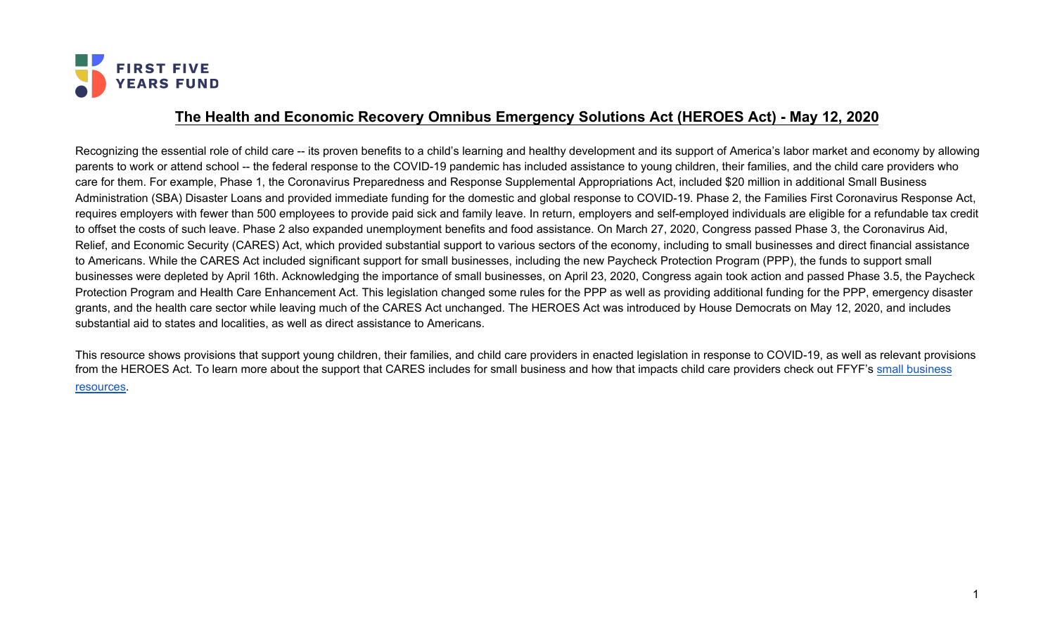

## **The Health and Economic Recovery Omnibus Emergency Solutions Act (HEROES Act) - May 12, 2020**

Recognizing the essential role of child care -- its proven benefits to a child's learning and healthy development and its support of America's labor market and economy by allowing parents to work or attend school -- the federal response to the COVID-19 pandemic has included assistance to young children, their families, and the child care providers who care for them. For example, Phase 1, the Coronavirus Preparedness and Response Supplemental Appropriations Act, included \$20 million in additional Small Business Administration (SBA) Disaster Loans and provided immediate funding for the domestic and global response to COVID-19. Phase 2, the Families First Coronavirus Response Act, requires employers with fewer than 500 employees to provide paid sick and family leave. In return, employers and self-employed individuals are eligible for a refundable tax credit to offset the costs of such leave. Phase 2 also expanded unemployment benefits and food assistance. On March 27, 2020, Congress passed Phase 3, the Coronavirus Aid, Relief, and Economic Security (CARES) Act, which provided substantial support to various sectors of the economy, including to small businesses and direct financial assistance to Americans. While the CARES Act included significant support for small businesses, including the new Paycheck Protection Program (PPP), the funds to support small businesses were depleted by April 16th. Acknowledging the importance of small businesses, on April 23, 2020, Congress again took action and passed Phase 3.5, the Paycheck Protection Program and Health Care Enhancement Act. This legislation changed some rules for the PPP as well as providing additional funding for the PPP, emergency disaster grants, and the health care sector while leaving much of the CARES Act unchanged. The HEROES Act was introduced by House Democrats on May 12, 2020, and includes substantial aid to states and localities, as well as direct assistance to Americans.

This resource shows provisions that support young children, their families, and child care providers in enacted legislation in response to COVID-19, as well as relevant provisions from the HEROES Act. To learn more about the support that CARES includes for [small business](https://www.ffyf.org/small-business-administration-sba-loans-immediately-available-to-child-care-providers/) and how that impacts child care providers check out FFYF's small business [resources](https://www.ffyf.org/small-business-administration-sba-loans-immediately-available-to-child-care-providers/).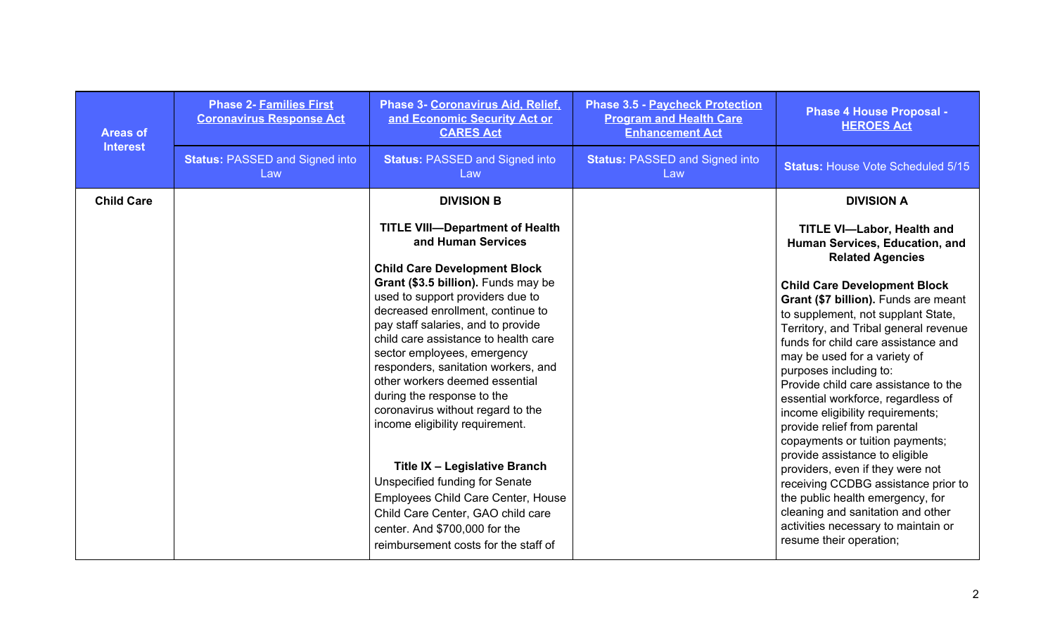| <b>Areas of</b><br><b>Interest</b> | <b>Phase 2- Families First</b><br><b>Coronavirus Response Act</b> | Phase 3- Coronavirus Aid, Relief,<br>and Economic Security Act or<br><b>CARES Act</b>                                                                                                                                                                                                                                                                                                                                                                                                                                                                                                                                                                                                                                                         | <b>Phase 3.5 - Paycheck Protection</b><br><b>Program and Health Care</b><br><b>Enhancement Act</b> | <b>Phase 4 House Proposal -</b><br><b>HEROES Act</b>                                                                                                                                                                                                                                                                                                                                                                                                                                                                                                                                                                                                                                                                                                                                                       |
|------------------------------------|-------------------------------------------------------------------|-----------------------------------------------------------------------------------------------------------------------------------------------------------------------------------------------------------------------------------------------------------------------------------------------------------------------------------------------------------------------------------------------------------------------------------------------------------------------------------------------------------------------------------------------------------------------------------------------------------------------------------------------------------------------------------------------------------------------------------------------|----------------------------------------------------------------------------------------------------|------------------------------------------------------------------------------------------------------------------------------------------------------------------------------------------------------------------------------------------------------------------------------------------------------------------------------------------------------------------------------------------------------------------------------------------------------------------------------------------------------------------------------------------------------------------------------------------------------------------------------------------------------------------------------------------------------------------------------------------------------------------------------------------------------------|
|                                    | <b>Status: PASSED and Signed into</b><br>Law                      | <b>Status: PASSED and Signed into</b><br>Law                                                                                                                                                                                                                                                                                                                                                                                                                                                                                                                                                                                                                                                                                                  | <b>Status: PASSED and Signed into</b><br>Law                                                       | <b>Status: House Vote Scheduled 5/15</b>                                                                                                                                                                                                                                                                                                                                                                                                                                                                                                                                                                                                                                                                                                                                                                   |
| <b>Child Care</b>                  |                                                                   | <b>DIVISION B</b>                                                                                                                                                                                                                                                                                                                                                                                                                                                                                                                                                                                                                                                                                                                             |                                                                                                    | <b>DIVISION A</b>                                                                                                                                                                                                                                                                                                                                                                                                                                                                                                                                                                                                                                                                                                                                                                                          |
|                                    |                                                                   | <b>TITLE VIII-Department of Health</b><br>and Human Services<br><b>Child Care Development Block</b><br>Grant (\$3.5 billion). Funds may be<br>used to support providers due to<br>decreased enrollment, continue to<br>pay staff salaries, and to provide<br>child care assistance to health care<br>sector employees, emergency<br>responders, sanitation workers, and<br>other workers deemed essential<br>during the response to the<br>coronavirus without regard to the<br>income eligibility requirement.<br>Title IX - Legislative Branch<br><b>Unspecified funding for Senate</b><br>Employees Child Care Center, House<br>Child Care Center, GAO child care<br>center. And \$700,000 for the<br>reimbursement costs for the staff of |                                                                                                    | <b>TITLE VI-Labor, Health and</b><br>Human Services, Education, and<br><b>Related Agencies</b><br><b>Child Care Development Block</b><br>Grant (\$7 billion). Funds are meant<br>to supplement, not supplant State,<br>Territory, and Tribal general revenue<br>funds for child care assistance and<br>may be used for a variety of<br>purposes including to:<br>Provide child care assistance to the<br>essential workforce, regardless of<br>income eligibility requirements;<br>provide relief from parental<br>copayments or tuition payments;<br>provide assistance to eligible<br>providers, even if they were not<br>receiving CCDBG assistance prior to<br>the public health emergency, for<br>cleaning and sanitation and other<br>activities necessary to maintain or<br>resume their operation; |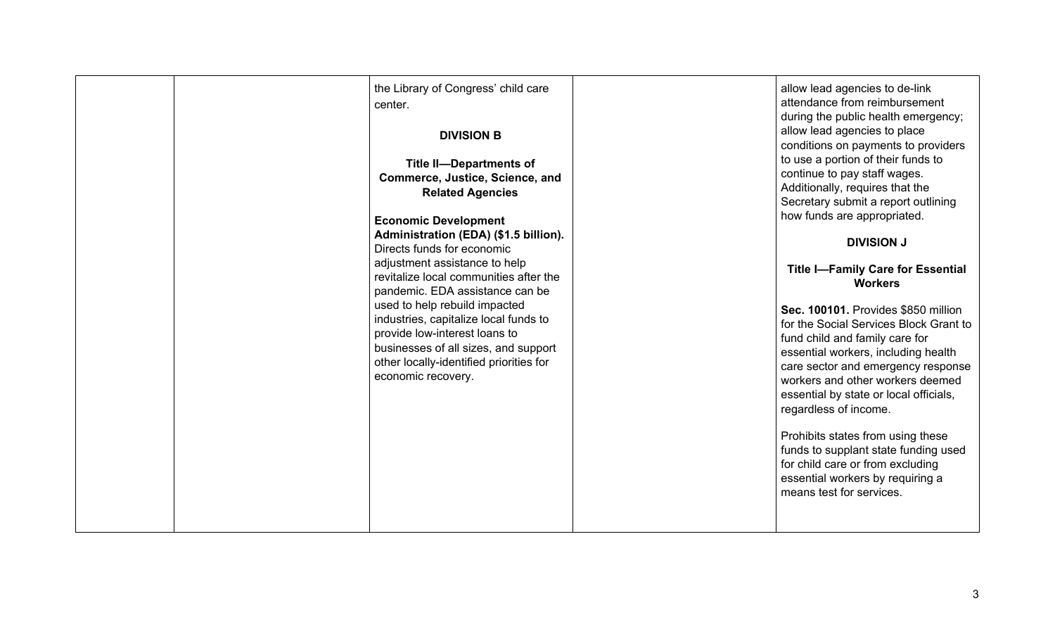| the Library of Congress' child care<br>center.<br><b>DIVISION B</b><br><b>Title II-Departments of</b><br>Commerce, Justice, Science, and<br><b>Related Agencies</b><br><b>Economic Development</b><br>Administration (EDA) (\$1.5 billion).<br>Directs funds for economic<br>adjustment assistance to help<br>revitalize local communities after the<br>pandemic. EDA assistance can be<br>used to help rebuild impacted<br>industries, capitalize local funds to<br>provide low-interest loans to<br>businesses of all sizes, and support<br>other locally-identified priorities for<br>economic recovery. | allow lead agencies to de-link<br>attendance from reimbursement<br>during the public health emergency;<br>allow lead agencies to place<br>conditions on payments to providers<br>to use a portion of their funds to<br>continue to pay staff wages.<br>Additionally, requires that the<br>Secretary submit a report outlining<br>how funds are appropriated.<br><b>DIVISION J</b><br><b>Title I-Family Care for Essential</b><br><b>Workers</b><br>Sec. 100101. Provides \$850 million<br>for the Social Services Block Grant to<br>fund child and family care for<br>essential workers, including health<br>care sector and emergency response<br>workers and other workers deemed<br>essential by state or local officials,<br>regardless of income.<br>Prohibits states from using these<br>funds to supplant state funding used<br>for child care or from excluding<br>essential workers by requiring a<br>means test for services. |
|-------------------------------------------------------------------------------------------------------------------------------------------------------------------------------------------------------------------------------------------------------------------------------------------------------------------------------------------------------------------------------------------------------------------------------------------------------------------------------------------------------------------------------------------------------------------------------------------------------------|-----------------------------------------------------------------------------------------------------------------------------------------------------------------------------------------------------------------------------------------------------------------------------------------------------------------------------------------------------------------------------------------------------------------------------------------------------------------------------------------------------------------------------------------------------------------------------------------------------------------------------------------------------------------------------------------------------------------------------------------------------------------------------------------------------------------------------------------------------------------------------------------------------------------------------------------|
|-------------------------------------------------------------------------------------------------------------------------------------------------------------------------------------------------------------------------------------------------------------------------------------------------------------------------------------------------------------------------------------------------------------------------------------------------------------------------------------------------------------------------------------------------------------------------------------------------------------|-----------------------------------------------------------------------------------------------------------------------------------------------------------------------------------------------------------------------------------------------------------------------------------------------------------------------------------------------------------------------------------------------------------------------------------------------------------------------------------------------------------------------------------------------------------------------------------------------------------------------------------------------------------------------------------------------------------------------------------------------------------------------------------------------------------------------------------------------------------------------------------------------------------------------------------------|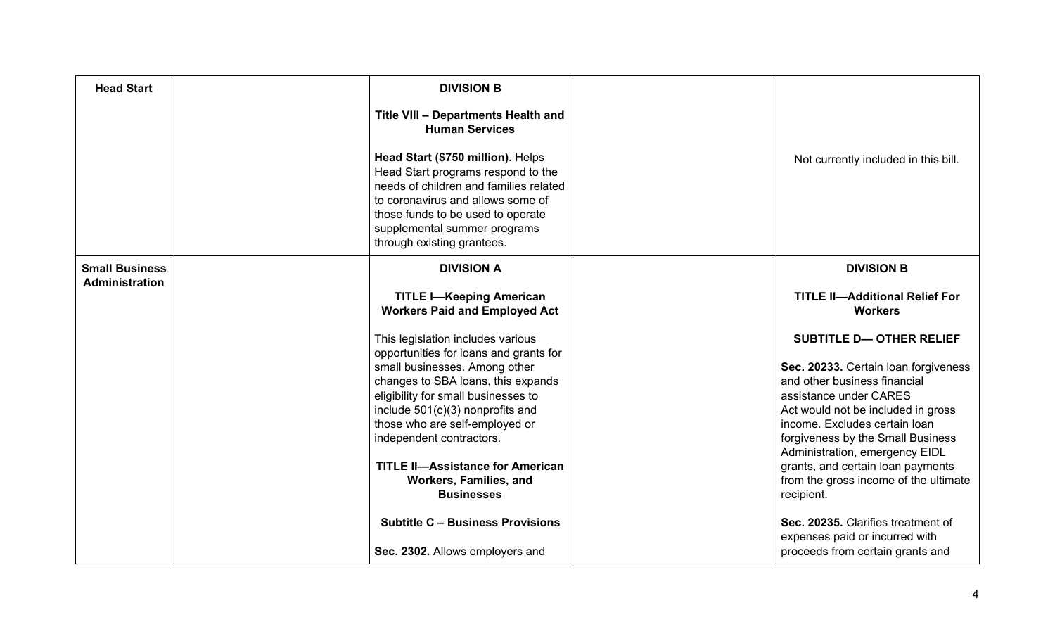| <b>Head Start</b>                              | <b>DIVISION B</b><br>Title VIII - Departments Health and<br><b>Human Services</b>                                                                                                                                                                                                                                                                                                            |                                                                                                                                                                                                                                                                                                                                                                            |
|------------------------------------------------|----------------------------------------------------------------------------------------------------------------------------------------------------------------------------------------------------------------------------------------------------------------------------------------------------------------------------------------------------------------------------------------------|----------------------------------------------------------------------------------------------------------------------------------------------------------------------------------------------------------------------------------------------------------------------------------------------------------------------------------------------------------------------------|
|                                                | Head Start (\$750 million). Helps<br>Head Start programs respond to the<br>needs of children and families related<br>to coronavirus and allows some of<br>those funds to be used to operate<br>supplemental summer programs<br>through existing grantees.                                                                                                                                    | Not currently included in this bill.                                                                                                                                                                                                                                                                                                                                       |
| <b>Small Business</b><br><b>Administration</b> | <b>DIVISION A</b>                                                                                                                                                                                                                                                                                                                                                                            | <b>DIVISION B</b>                                                                                                                                                                                                                                                                                                                                                          |
|                                                | <b>TITLE I-Keeping American</b><br><b>Workers Paid and Employed Act</b>                                                                                                                                                                                                                                                                                                                      | <b>TITLE II-Additional Relief For</b><br><b>Workers</b>                                                                                                                                                                                                                                                                                                                    |
|                                                | This legislation includes various<br>opportunities for loans and grants for<br>small businesses. Among other<br>changes to SBA loans, this expands<br>eligibility for small businesses to<br>include 501(c)(3) nonprofits and<br>those who are self-employed or<br>independent contractors.<br><b>TITLE II-Assistance for American</b><br><b>Workers, Families, and</b><br><b>Businesses</b> | <b>SUBTITLE D-OTHER RELIEF</b><br>Sec. 20233. Certain loan forgiveness<br>and other business financial<br>assistance under CARES<br>Act would not be included in gross<br>income. Excludes certain loan<br>forgiveness by the Small Business<br>Administration, emergency EIDL<br>grants, and certain loan payments<br>from the gross income of the ultimate<br>recipient. |
|                                                | <b>Subtitle C - Business Provisions</b><br>Sec. 2302. Allows employers and                                                                                                                                                                                                                                                                                                                   | Sec. 20235. Clarifies treatment of<br>expenses paid or incurred with<br>proceeds from certain grants and                                                                                                                                                                                                                                                                   |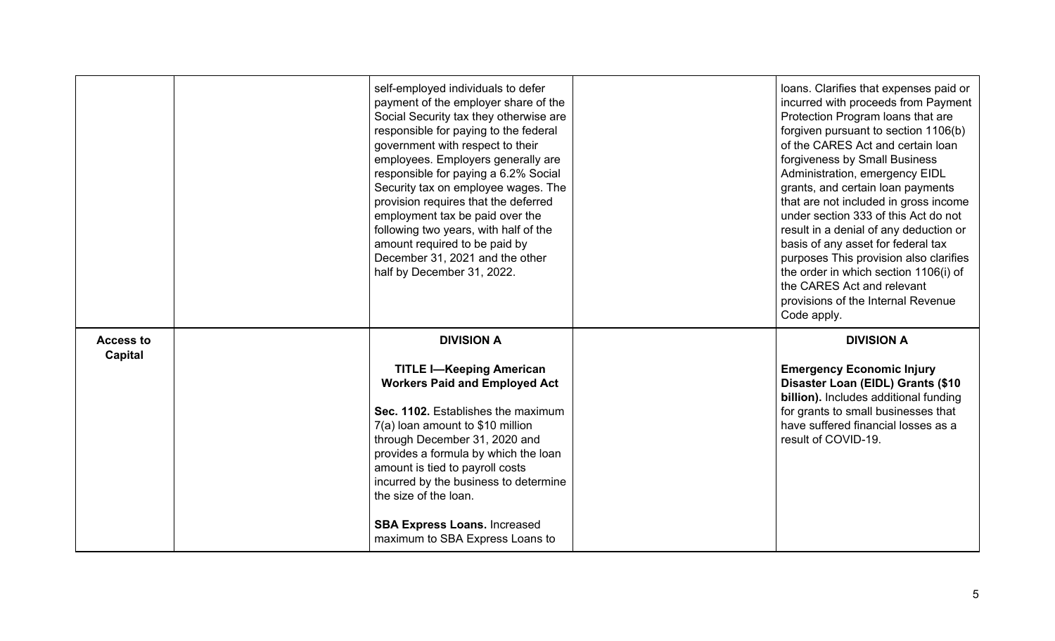|                             | self-employed individuals to defer<br>payment of the employer share of the<br>Social Security tax they otherwise are<br>responsible for paying to the federal<br>government with respect to their<br>employees. Employers generally are<br>responsible for paying a 6.2% Social<br>Security tax on employee wages. The<br>provision requires that the deferred<br>employment tax be paid over the<br>following two years, with half of the<br>amount required to be paid by<br>December 31, 2021 and the other<br>half by December 31, 2022. | loans. Clarifies that expenses paid or<br>incurred with proceeds from Payment<br>Protection Program loans that are<br>forgiven pursuant to section 1106(b)<br>of the CARES Act and certain loan<br>forgiveness by Small Business<br>Administration, emergency EIDL<br>grants, and certain loan payments<br>that are not included in gross income<br>under section 333 of this Act do not<br>result in a denial of any deduction or<br>basis of any asset for federal tax<br>purposes This provision also clarifies<br>the order in which section 1106(i) of<br>the CARES Act and relevant<br>provisions of the Internal Revenue<br>Code apply. |
|-----------------------------|----------------------------------------------------------------------------------------------------------------------------------------------------------------------------------------------------------------------------------------------------------------------------------------------------------------------------------------------------------------------------------------------------------------------------------------------------------------------------------------------------------------------------------------------|------------------------------------------------------------------------------------------------------------------------------------------------------------------------------------------------------------------------------------------------------------------------------------------------------------------------------------------------------------------------------------------------------------------------------------------------------------------------------------------------------------------------------------------------------------------------------------------------------------------------------------------------|
| <b>Access to</b><br>Capital | <b>DIVISION A</b><br><b>TITLE I-Keeping American</b><br><b>Workers Paid and Employed Act</b><br>Sec. 1102. Establishes the maximum<br>7(a) loan amount to \$10 million<br>through December 31, 2020 and<br>provides a formula by which the loan<br>amount is tied to payroll costs<br>incurred by the business to determine<br>the size of the loan.<br><b>SBA Express Loans. Increased</b><br>maximum to SBA Express Loans to                                                                                                               | <b>DIVISION A</b><br><b>Emergency Economic Injury</b><br>Disaster Loan (EIDL) Grants (\$10<br>billion). Includes additional funding<br>for grants to small businesses that<br>have suffered financial losses as a<br>result of COVID-19.                                                                                                                                                                                                                                                                                                                                                                                                       |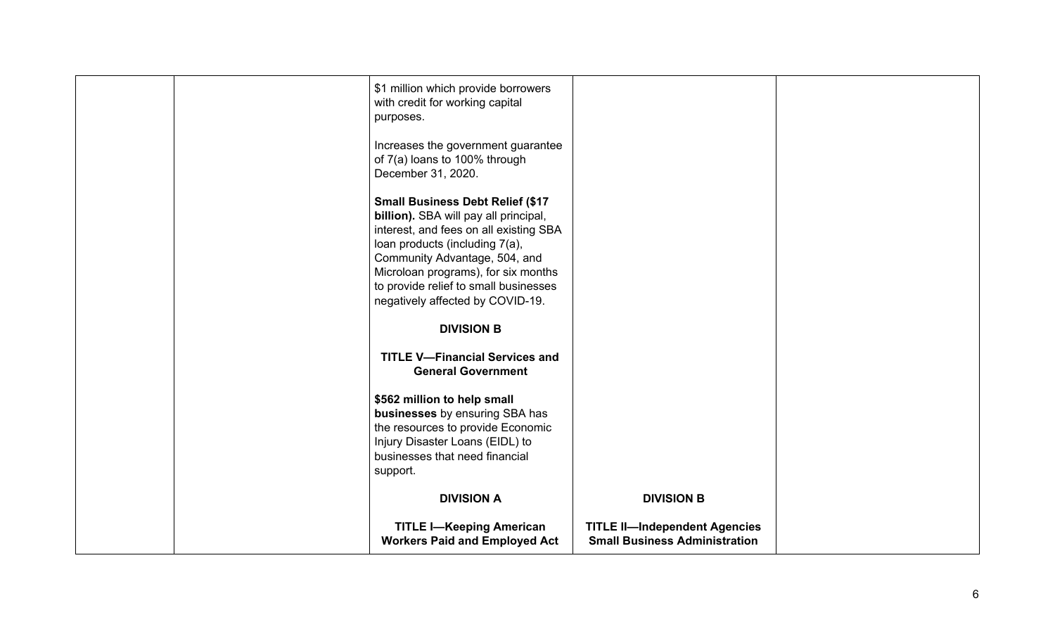|  | \$1 million which provide borrowers<br>with credit for working capital<br>purposes.<br>Increases the government guarantee<br>of 7(a) loans to 100% through<br>December 31, 2020.<br><b>Small Business Debt Relief (\$17</b><br>billion). SBA will pay all principal,<br>interest, and fees on all existing SBA<br>loan products (including 7(a),<br>Community Advantage, 504, and<br>Microloan programs), for six months<br>to provide relief to small businesses |                                                                              |  |
|--|-------------------------------------------------------------------------------------------------------------------------------------------------------------------------------------------------------------------------------------------------------------------------------------------------------------------------------------------------------------------------------------------------------------------------------------------------------------------|------------------------------------------------------------------------------|--|
|  | negatively affected by COVID-19.<br><b>DIVISION B</b>                                                                                                                                                                                                                                                                                                                                                                                                             |                                                                              |  |
|  | <b>TITLE V-Financial Services and</b><br><b>General Government</b>                                                                                                                                                                                                                                                                                                                                                                                                |                                                                              |  |
|  | \$562 million to help small<br>businesses by ensuring SBA has<br>the resources to provide Economic<br>Injury Disaster Loans (EIDL) to<br>businesses that need financial<br>support.                                                                                                                                                                                                                                                                               |                                                                              |  |
|  | <b>DIVISION A</b>                                                                                                                                                                                                                                                                                                                                                                                                                                                 | <b>DIVISION B</b>                                                            |  |
|  | <b>TITLE I-Keeping American</b><br><b>Workers Paid and Employed Act</b>                                                                                                                                                                                                                                                                                                                                                                                           | <b>TITLE II-Independent Agencies</b><br><b>Small Business Administration</b> |  |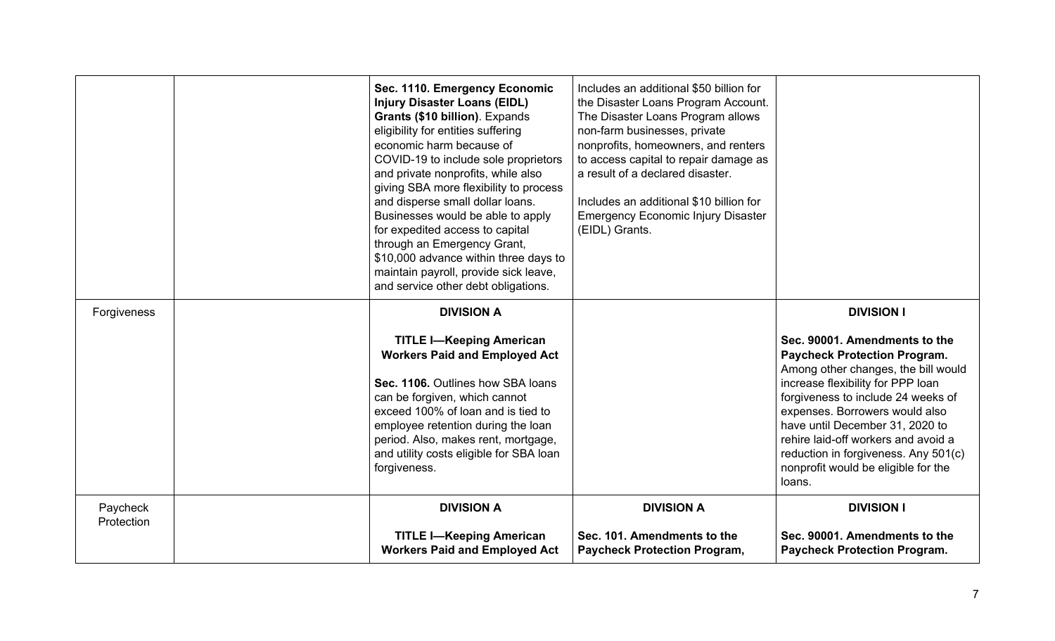|                        | Sec. 1110. Emergency Economic<br><b>Injury Disaster Loans (EIDL)</b><br>Grants (\$10 billion). Expands<br>eligibility for entities suffering<br>economic harm because of<br>COVID-19 to include sole proprietors<br>and private nonprofits, while also<br>giving SBA more flexibility to process<br>and disperse small dollar loans.<br>Businesses would be able to apply<br>for expedited access to capital<br>through an Emergency Grant,<br>\$10,000 advance within three days to<br>maintain payroll, provide sick leave,<br>and service other debt obligations. | Includes an additional \$50 billion for<br>the Disaster Loans Program Account.<br>The Disaster Loans Program allows<br>non-farm businesses, private<br>nonprofits, homeowners, and renters<br>to access capital to repair damage as<br>a result of a declared disaster.<br>Includes an additional \$10 billion for<br><b>Emergency Economic Injury Disaster</b><br>(EIDL) Grants. |                                                                                                                                                                                                                                                                                                                                                                                                                  |
|------------------------|----------------------------------------------------------------------------------------------------------------------------------------------------------------------------------------------------------------------------------------------------------------------------------------------------------------------------------------------------------------------------------------------------------------------------------------------------------------------------------------------------------------------------------------------------------------------|-----------------------------------------------------------------------------------------------------------------------------------------------------------------------------------------------------------------------------------------------------------------------------------------------------------------------------------------------------------------------------------|------------------------------------------------------------------------------------------------------------------------------------------------------------------------------------------------------------------------------------------------------------------------------------------------------------------------------------------------------------------------------------------------------------------|
| Forgiveness            | <b>DIVISION A</b><br><b>TITLE I-Keeping American</b><br><b>Workers Paid and Employed Act</b><br>Sec. 1106. Outlines how SBA loans<br>can be forgiven, which cannot<br>exceed 100% of loan and is tied to<br>employee retention during the loan<br>period. Also, makes rent, mortgage,<br>and utility costs eligible for SBA loan<br>forgiveness.                                                                                                                                                                                                                     |                                                                                                                                                                                                                                                                                                                                                                                   | <b>DIVISION I</b><br>Sec. 90001. Amendments to the<br><b>Paycheck Protection Program.</b><br>Among other changes, the bill would<br>increase flexibility for PPP loan<br>forgiveness to include 24 weeks of<br>expenses. Borrowers would also<br>have until December 31, 2020 to<br>rehire laid-off workers and avoid a<br>reduction in forgiveness. Any 501(c)<br>nonprofit would be eligible for the<br>loans. |
| Paycheck<br>Protection | <b>DIVISION A</b><br><b>TITLE I-Keeping American</b><br><b>Workers Paid and Employed Act</b>                                                                                                                                                                                                                                                                                                                                                                                                                                                                         | <b>DIVISION A</b><br>Sec. 101. Amendments to the<br><b>Paycheck Protection Program,</b>                                                                                                                                                                                                                                                                                           | <b>DIVISION I</b><br>Sec. 90001. Amendments to the<br><b>Paycheck Protection Program.</b>                                                                                                                                                                                                                                                                                                                        |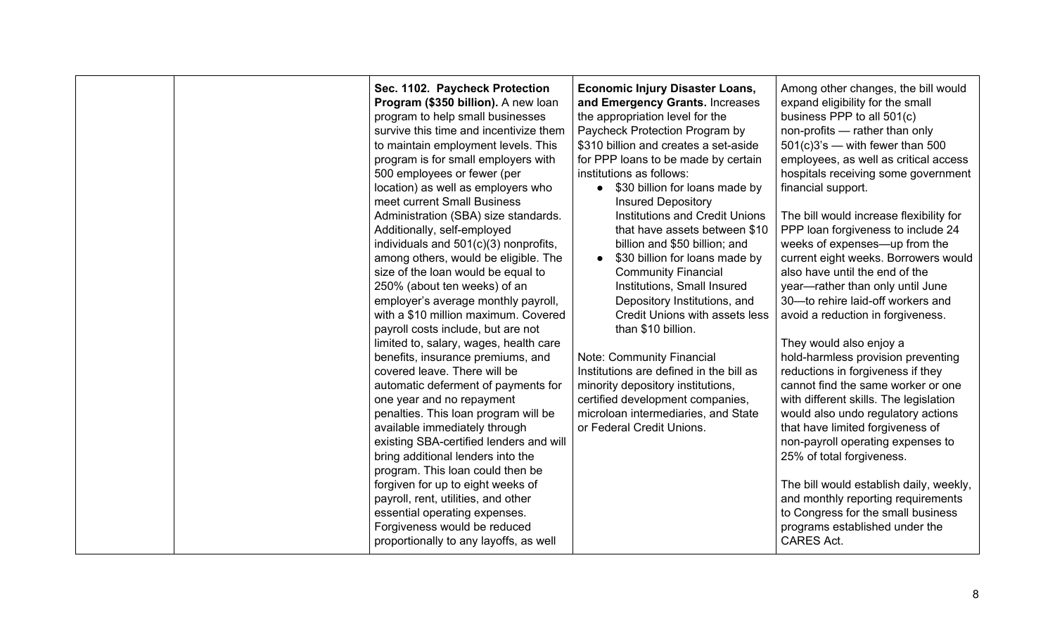| employer's average monthly payroll,<br>Depository Institutions, and<br>30-to rehire laid-off workers and<br>with a \$10 million maximum. Covered<br>Credit Unions with assets less<br>avoid a reduction in forgiveness.<br>payroll costs include, but are not<br>than \$10 billion.<br>limited to, salary, wages, health care<br>They would also enjoy a<br>Note: Community Financial<br>benefits, insurance premiums, and<br>covered leave. There will be<br>Institutions are defined in the bill as<br>reductions in forgiveness if they<br>automatic deferment of payments for<br>minority depository institutions,<br>certified development companies,<br>with different skills. The legislation<br>one year and no repayment<br>penalties. This loan program will be<br>microloan intermediaries, and State<br>would also undo regulatory actions<br>available immediately through<br>or Federal Credit Unions.<br>that have limited forgiveness of<br>existing SBA-certified lenders and will<br>non-payroll operating expenses to<br>bring additional lenders into the<br>25% of total forgiveness.<br>program. This loan could then be<br>forgiven for up to eight weeks of<br>payroll, rent, utilities, and other<br>essential operating expenses.<br>to Congress for the small business<br>Forgiveness would be reduced<br>programs established under the<br>proportionally to any layoffs, as well<br><b>CARES Act.</b> |  | Sec. 1102. Paycheck Protection<br>Program (\$350 billion). A new loan<br>program to help small businesses<br>survive this time and incentivize them<br>to maintain employment levels. This<br>program is for small employers with<br>500 employees or fewer (per<br>location) as well as employers who<br>meet current Small Business<br>Administration (SBA) size standards.<br>Additionally, self-employed<br>individuals and 501(c)(3) nonprofits,<br>among others, would be eligible. The<br>size of the loan would be equal to<br>250% (about ten weeks) of an | <b>Economic Injury Disaster Loans,</b><br>and Emergency Grants. Increases<br>the appropriation level for the<br>Paycheck Protection Program by<br>\$310 billion and creates a set-aside<br>for PPP loans to be made by certain<br>institutions as follows:<br>\$30 billion for loans made by<br>$\bullet$<br><b>Insured Depository</b><br><b>Institutions and Credit Unions</b><br>that have assets between \$10<br>billion and \$50 billion; and<br>\$30 billion for loans made by<br>$\bullet$<br><b>Community Financial</b><br>Institutions, Small Insured | Among other changes, the bill would<br>expand eligibility for the small<br>business PPP to all 501(c)<br>non-profits - rather than only<br>$501(c)3's$ — with fewer than 500<br>employees, as well as critical access<br>hospitals receiving some government<br>financial support.<br>The bill would increase flexibility for<br>PPP loan forgiveness to include 24<br>weeks of expenses—up from the<br>current eight weeks. Borrowers would<br>also have until the end of the<br>year-rather than only until June<br>hold-harmless provision preventing<br>cannot find the same worker or one<br>The bill would establish daily, weekly,<br>and monthly reporting requirements |
|------------------------------------------------------------------------------------------------------------------------------------------------------------------------------------------------------------------------------------------------------------------------------------------------------------------------------------------------------------------------------------------------------------------------------------------------------------------------------------------------------------------------------------------------------------------------------------------------------------------------------------------------------------------------------------------------------------------------------------------------------------------------------------------------------------------------------------------------------------------------------------------------------------------------------------------------------------------------------------------------------------------------------------------------------------------------------------------------------------------------------------------------------------------------------------------------------------------------------------------------------------------------------------------------------------------------------------------------------------------------------------------------------------------------------------|--|---------------------------------------------------------------------------------------------------------------------------------------------------------------------------------------------------------------------------------------------------------------------------------------------------------------------------------------------------------------------------------------------------------------------------------------------------------------------------------------------------------------------------------------------------------------------|---------------------------------------------------------------------------------------------------------------------------------------------------------------------------------------------------------------------------------------------------------------------------------------------------------------------------------------------------------------------------------------------------------------------------------------------------------------------------------------------------------------------------------------------------------------|---------------------------------------------------------------------------------------------------------------------------------------------------------------------------------------------------------------------------------------------------------------------------------------------------------------------------------------------------------------------------------------------------------------------------------------------------------------------------------------------------------------------------------------------------------------------------------------------------------------------------------------------------------------------------------|
|------------------------------------------------------------------------------------------------------------------------------------------------------------------------------------------------------------------------------------------------------------------------------------------------------------------------------------------------------------------------------------------------------------------------------------------------------------------------------------------------------------------------------------------------------------------------------------------------------------------------------------------------------------------------------------------------------------------------------------------------------------------------------------------------------------------------------------------------------------------------------------------------------------------------------------------------------------------------------------------------------------------------------------------------------------------------------------------------------------------------------------------------------------------------------------------------------------------------------------------------------------------------------------------------------------------------------------------------------------------------------------------------------------------------------------|--|---------------------------------------------------------------------------------------------------------------------------------------------------------------------------------------------------------------------------------------------------------------------------------------------------------------------------------------------------------------------------------------------------------------------------------------------------------------------------------------------------------------------------------------------------------------------|---------------------------------------------------------------------------------------------------------------------------------------------------------------------------------------------------------------------------------------------------------------------------------------------------------------------------------------------------------------------------------------------------------------------------------------------------------------------------------------------------------------------------------------------------------------|---------------------------------------------------------------------------------------------------------------------------------------------------------------------------------------------------------------------------------------------------------------------------------------------------------------------------------------------------------------------------------------------------------------------------------------------------------------------------------------------------------------------------------------------------------------------------------------------------------------------------------------------------------------------------------|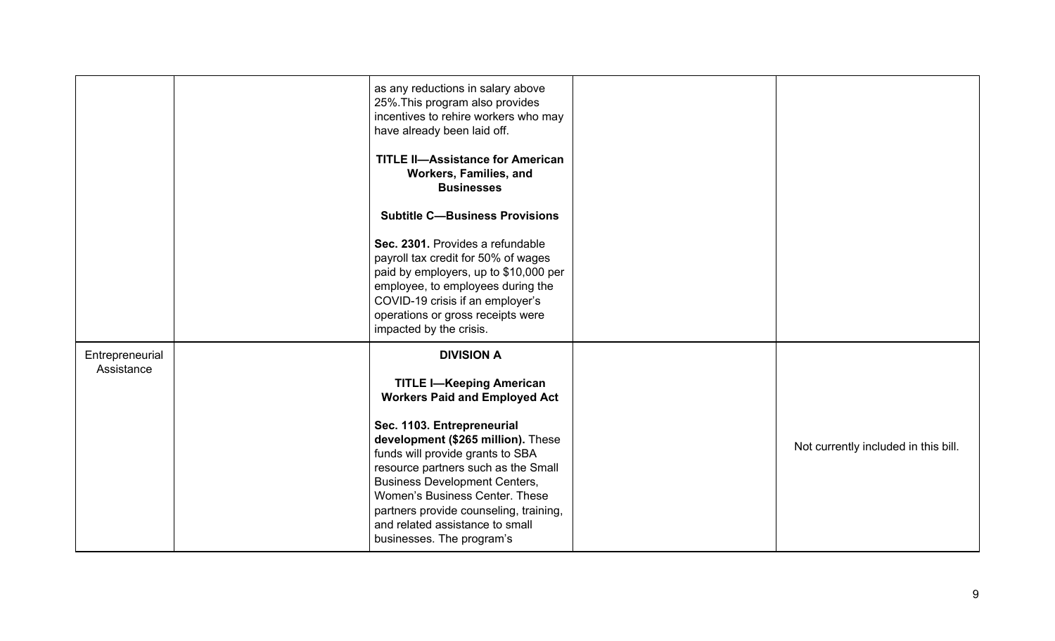|                               | as any reductions in salary above<br>25%. This program also provides<br>incentives to rehire workers who may<br>have already been laid off.<br><b>TITLE II-Assistance for American</b><br>Workers, Families, and<br><b>Businesses</b><br><b>Subtitle C-Business Provisions</b><br>Sec. 2301. Provides a refundable<br>payroll tax credit for 50% of wages<br>paid by employers, up to \$10,000 per<br>employee, to employees during the<br>COVID-19 crisis if an employer's<br>operations or gross receipts were<br>impacted by the crisis. |                                      |
|-------------------------------|---------------------------------------------------------------------------------------------------------------------------------------------------------------------------------------------------------------------------------------------------------------------------------------------------------------------------------------------------------------------------------------------------------------------------------------------------------------------------------------------------------------------------------------------|--------------------------------------|
| Entrepreneurial<br>Assistance | <b>DIVISION A</b><br><b>TITLE I-Keeping American</b><br><b>Workers Paid and Employed Act</b><br>Sec. 1103. Entrepreneurial<br>development (\$265 million). These<br>funds will provide grants to SBA<br>resource partners such as the Small<br><b>Business Development Centers,</b><br>Women's Business Center. These<br>partners provide counseling, training,<br>and related assistance to small<br>businesses. The program's                                                                                                             | Not currently included in this bill. |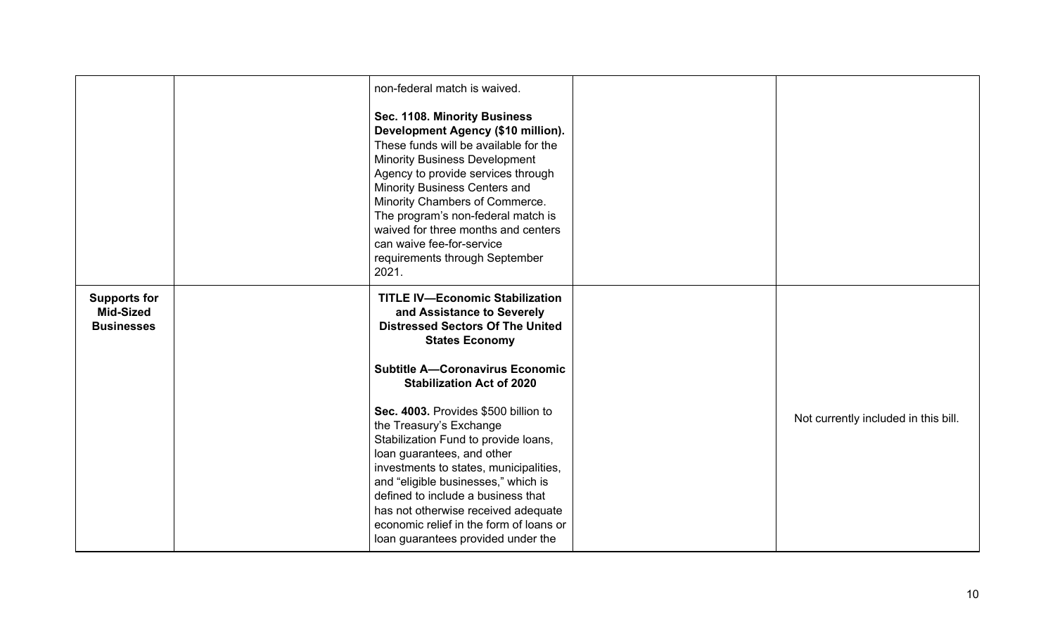|                                                              | non-federal match is waived.<br>Sec. 1108. Minority Business<br>Development Agency (\$10 million).<br>These funds will be available for the<br><b>Minority Business Development</b><br>Agency to provide services through<br>Minority Business Centers and<br>Minority Chambers of Commerce.<br>The program's non-federal match is<br>waived for three months and centers<br>can waive fee-for-service<br>requirements through September<br>2021.                                                                                                                                                              |                                      |
|--------------------------------------------------------------|----------------------------------------------------------------------------------------------------------------------------------------------------------------------------------------------------------------------------------------------------------------------------------------------------------------------------------------------------------------------------------------------------------------------------------------------------------------------------------------------------------------------------------------------------------------------------------------------------------------|--------------------------------------|
| <b>Supports for</b><br><b>Mid-Sized</b><br><b>Businesses</b> | <b>TITLE IV-Economic Stabilization</b><br>and Assistance to Severely<br><b>Distressed Sectors Of The United</b><br><b>States Economy</b><br><b>Subtitle A-Coronavirus Economic</b><br><b>Stabilization Act of 2020</b><br>Sec. 4003. Provides \$500 billion to<br>the Treasury's Exchange<br>Stabilization Fund to provide loans,<br>loan guarantees, and other<br>investments to states, municipalities,<br>and "eligible businesses," which is<br>defined to include a business that<br>has not otherwise received adequate<br>economic relief in the form of loans or<br>loan guarantees provided under the | Not currently included in this bill. |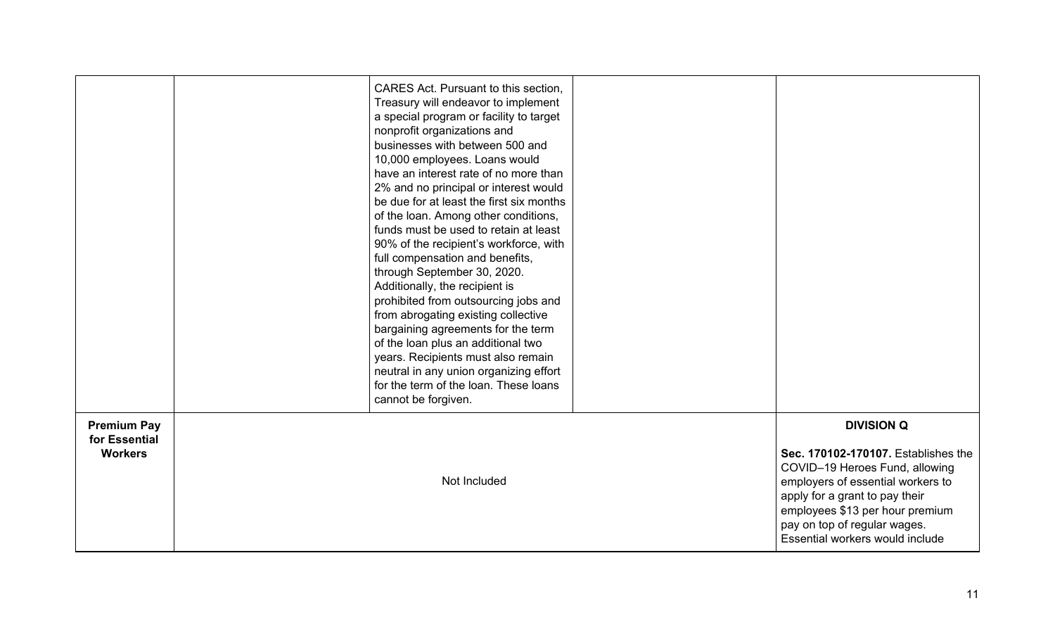|                                                       | CARES Act. Pursuant to this section.<br>Treasury will endeavor to implement<br>a special program or facility to target<br>nonprofit organizations and<br>businesses with between 500 and<br>10,000 employees. Loans would<br>have an interest rate of no more than<br>2% and no principal or interest would<br>be due for at least the first six months<br>of the loan. Among other conditions,<br>funds must be used to retain at least<br>90% of the recipient's workforce, with<br>full compensation and benefits,<br>through September 30, 2020.<br>Additionally, the recipient is<br>prohibited from outsourcing jobs and<br>from abrogating existing collective<br>bargaining agreements for the term<br>of the loan plus an additional two<br>years. Recipients must also remain<br>neutral in any union organizing effort<br>for the term of the loan. These loans<br>cannot be forgiven. |                                                                                                                                                                                                                                                                         |
|-------------------------------------------------------|---------------------------------------------------------------------------------------------------------------------------------------------------------------------------------------------------------------------------------------------------------------------------------------------------------------------------------------------------------------------------------------------------------------------------------------------------------------------------------------------------------------------------------------------------------------------------------------------------------------------------------------------------------------------------------------------------------------------------------------------------------------------------------------------------------------------------------------------------------------------------------------------------|-------------------------------------------------------------------------------------------------------------------------------------------------------------------------------------------------------------------------------------------------------------------------|
| <b>Premium Pay</b><br>for Essential<br><b>Workers</b> | Not Included                                                                                                                                                                                                                                                                                                                                                                                                                                                                                                                                                                                                                                                                                                                                                                                                                                                                                      | <b>DIVISION Q</b><br>Sec. 170102-170107. Establishes the<br>COVID-19 Heroes Fund, allowing<br>employers of essential workers to<br>apply for a grant to pay their<br>employees \$13 per hour premium<br>pay on top of regular wages.<br>Essential workers would include |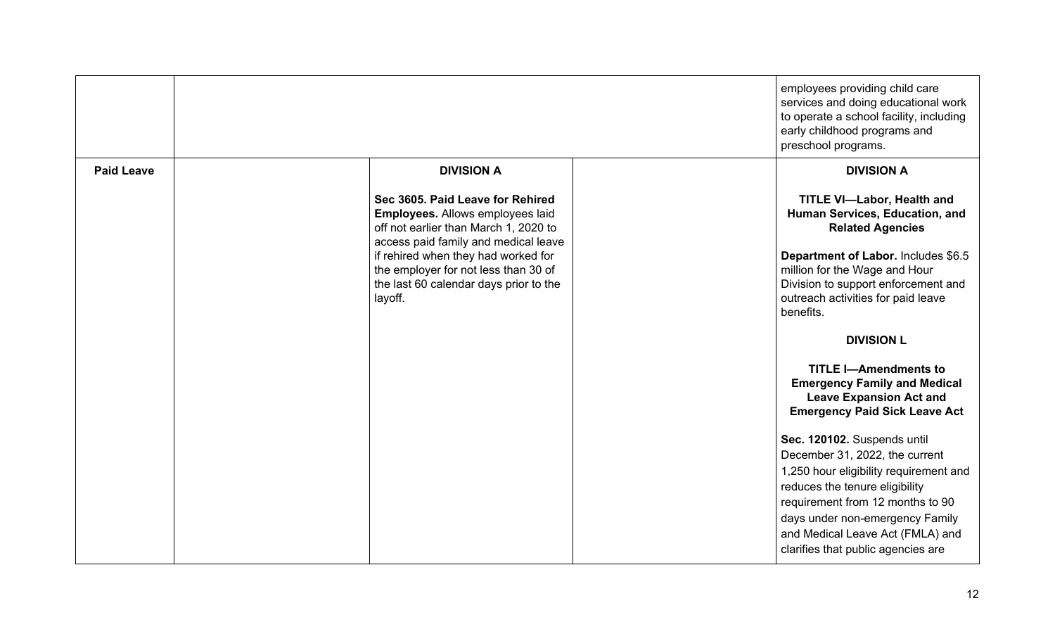|                   |                                                                                                                                                       | employees providing child care<br>services and doing educational work<br>to operate a school facility, including<br>early childhood programs and<br>preschool programs.                                                                                                                    |
|-------------------|-------------------------------------------------------------------------------------------------------------------------------------------------------|--------------------------------------------------------------------------------------------------------------------------------------------------------------------------------------------------------------------------------------------------------------------------------------------|
| <b>Paid Leave</b> | <b>DIVISION A</b>                                                                                                                                     | <b>DIVISION A</b>                                                                                                                                                                                                                                                                          |
|                   | Sec 3605, Paid Leave for Rehired<br>Employees. Allows employees laid<br>off not earlier than March 1, 2020 to<br>access paid family and medical leave | <b>TITLE VI-Labor, Health and</b><br>Human Services, Education, and<br><b>Related Agencies</b>                                                                                                                                                                                             |
|                   | if rehired when they had worked for<br>the employer for not less than 30 of<br>the last 60 calendar days prior to the<br>layoff.                      | Department of Labor. Includes \$6.5<br>million for the Wage and Hour<br>Division to support enforcement and<br>outreach activities for paid leave<br>benefits.                                                                                                                             |
|                   |                                                                                                                                                       | <b>DIVISION L</b>                                                                                                                                                                                                                                                                          |
|                   |                                                                                                                                                       | <b>TITLE I-Amendments to</b><br><b>Emergency Family and Medical</b><br><b>Leave Expansion Act and</b><br><b>Emergency Paid Sick Leave Act</b>                                                                                                                                              |
|                   |                                                                                                                                                       | Sec. 120102. Suspends until<br>December 31, 2022, the current<br>1,250 hour eligibility requirement and<br>reduces the tenure eligibility<br>requirement from 12 months to 90<br>days under non-emergency Family<br>and Medical Leave Act (FMLA) and<br>clarifies that public agencies are |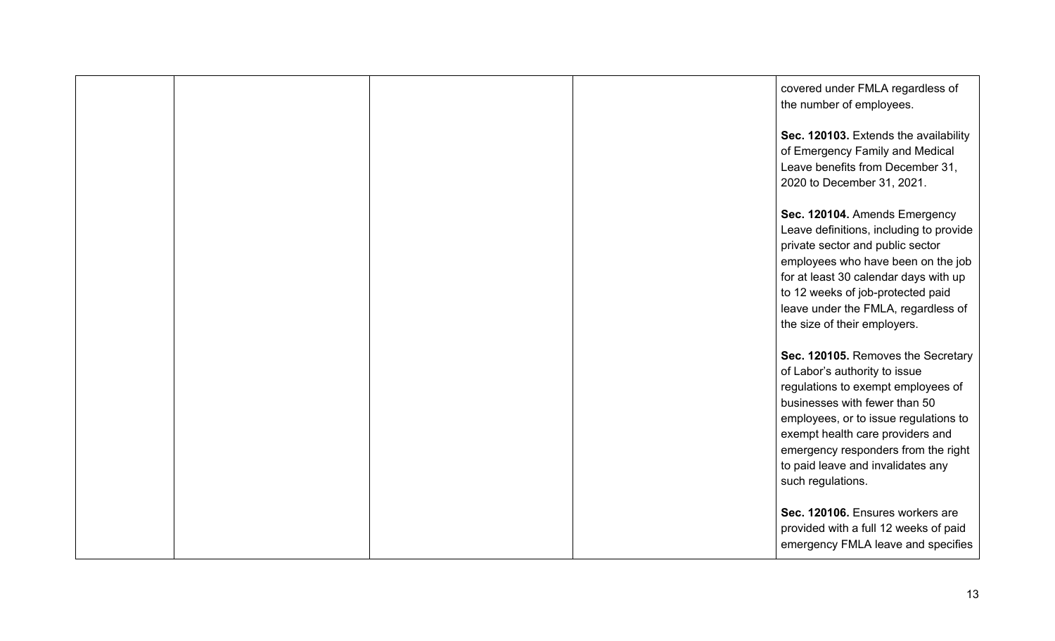|  |  | covered under FMLA regardless of<br>the number of employees.                                                                                                                                                                                                                                                             |
|--|--|--------------------------------------------------------------------------------------------------------------------------------------------------------------------------------------------------------------------------------------------------------------------------------------------------------------------------|
|  |  | Sec. 120103. Extends the availability<br>of Emergency Family and Medical<br>Leave benefits from December 31,<br>2020 to December 31, 2021.                                                                                                                                                                               |
|  |  | Sec. 120104. Amends Emergency<br>Leave definitions, including to provide<br>private sector and public sector<br>employees who have been on the job<br>for at least 30 calendar days with up<br>to 12 weeks of job-protected paid<br>leave under the FMLA, regardless of<br>the size of their employers.                  |
|  |  | Sec. 120105. Removes the Secretary<br>of Labor's authority to issue<br>regulations to exempt employees of<br>businesses with fewer than 50<br>employees, or to issue regulations to<br>exempt health care providers and<br>emergency responders from the right<br>to paid leave and invalidates any<br>such regulations. |
|  |  | Sec. 120106. Ensures workers are<br>provided with a full 12 weeks of paid<br>emergency FMLA leave and specifies                                                                                                                                                                                                          |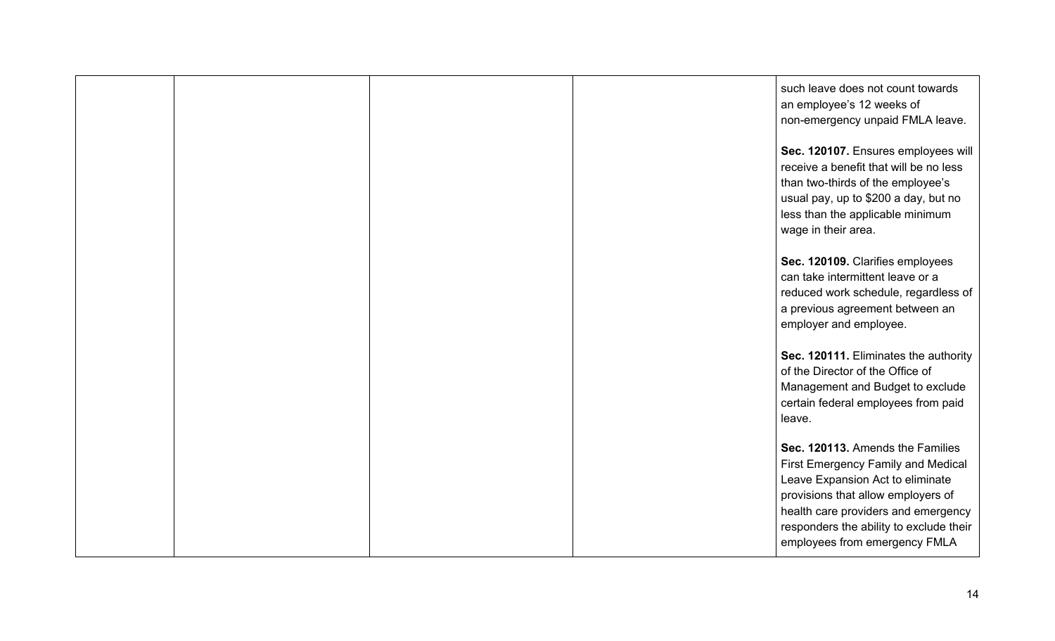|  |  | such leave does not count towards<br>an employee's 12 weeks of<br>non-emergency unpaid FMLA leave.                                                                                                                                                                  |
|--|--|---------------------------------------------------------------------------------------------------------------------------------------------------------------------------------------------------------------------------------------------------------------------|
|  |  | Sec. 120107. Ensures employees will<br>receive a benefit that will be no less<br>than two-thirds of the employee's<br>usual pay, up to \$200 a day, but no<br>less than the applicable minimum<br>wage in their area.                                               |
|  |  | Sec. 120109. Clarifies employees<br>can take intermittent leave or a<br>reduced work schedule, regardless of<br>a previous agreement between an<br>employer and employee.                                                                                           |
|  |  | Sec. 120111. Eliminates the authority<br>of the Director of the Office of<br>Management and Budget to exclude<br>certain federal employees from paid<br>leave.                                                                                                      |
|  |  | Sec. 120113. Amends the Families<br>First Emergency Family and Medical<br>Leave Expansion Act to eliminate<br>provisions that allow employers of<br>health care providers and emergency<br>responders the ability to exclude their<br>employees from emergency FMLA |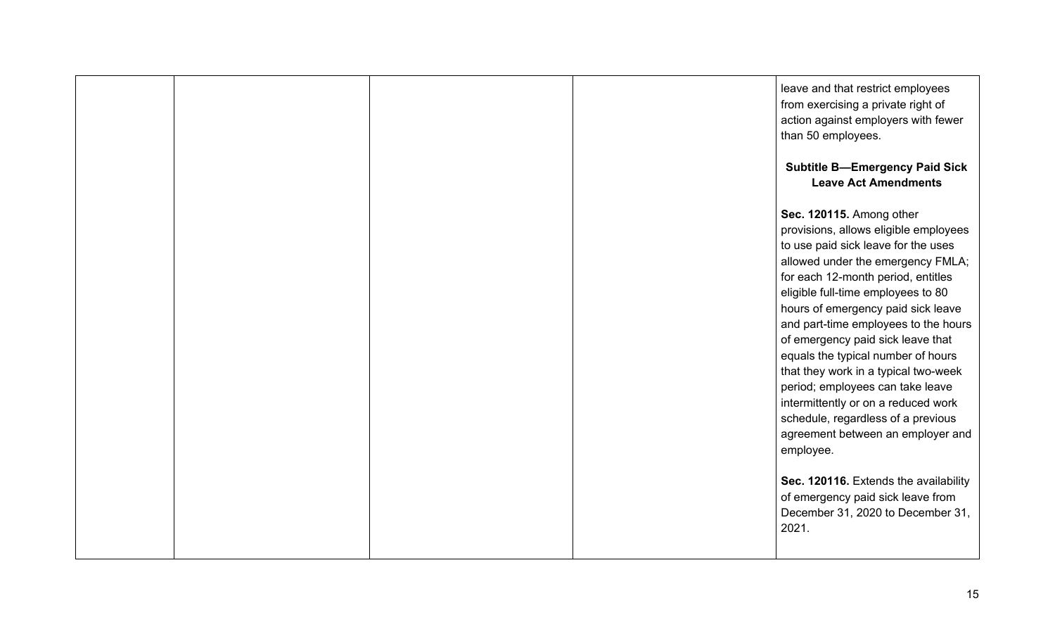|  |  | leave and that restrict employees<br>from exercising a private right of<br>action against employers with fewer<br>than 50 employees.<br><b>Subtitle B-Emergency Paid Sick</b><br><b>Leave Act Amendments</b>                                                                                                                                                                                                                                                                                                                                                                                                                           |
|--|--|----------------------------------------------------------------------------------------------------------------------------------------------------------------------------------------------------------------------------------------------------------------------------------------------------------------------------------------------------------------------------------------------------------------------------------------------------------------------------------------------------------------------------------------------------------------------------------------------------------------------------------------|
|  |  | Sec. 120115. Among other<br>provisions, allows eligible employees<br>to use paid sick leave for the uses<br>allowed under the emergency FMLA;<br>for each 12-month period, entitles<br>eligible full-time employees to 80<br>hours of emergency paid sick leave<br>and part-time employees to the hours<br>of emergency paid sick leave that<br>equals the typical number of hours<br>that they work in a typical two-week<br>period; employees can take leave<br>intermittently or on a reduced work<br>schedule, regardless of a previous<br>agreement between an employer and<br>employee.<br>Sec. 120116. Extends the availability |
|  |  | of emergency paid sick leave from<br>December 31, 2020 to December 31,<br>2021.                                                                                                                                                                                                                                                                                                                                                                                                                                                                                                                                                        |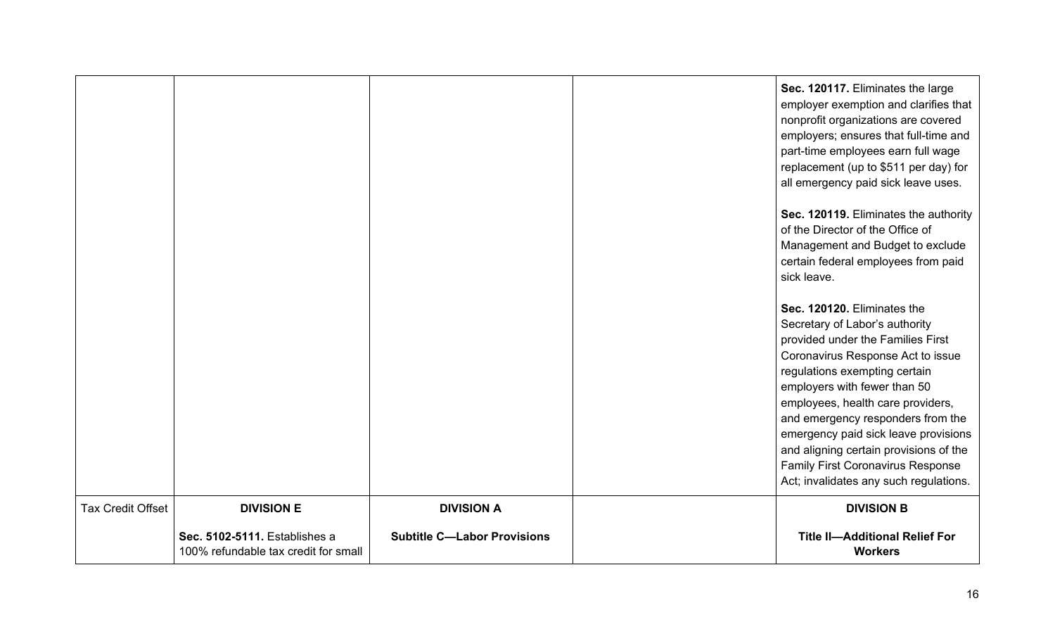|                          |                                                                       |                                    | Sec. 120117. Eliminates the large<br>employer exemption and clarifies that<br>nonprofit organizations are covered<br>employers; ensures that full-time and<br>part-time employees earn full wage<br>replacement (up to \$511 per day) for<br>all emergency paid sick leave uses.<br>Sec. 120119. Eliminates the authority<br>of the Director of the Office of<br>Management and Budget to exclude<br>certain federal employees from paid<br>sick leave.<br>Sec. 120120. Eliminates the<br>Secretary of Labor's authority<br>provided under the Families First<br>Coronavirus Response Act to issue<br>regulations exempting certain<br>employers with fewer than 50<br>employees, health care providers,<br>and emergency responders from the<br>emergency paid sick leave provisions<br>and aligning certain provisions of the<br><b>Family First Coronavirus Response</b> |
|--------------------------|-----------------------------------------------------------------------|------------------------------------|-----------------------------------------------------------------------------------------------------------------------------------------------------------------------------------------------------------------------------------------------------------------------------------------------------------------------------------------------------------------------------------------------------------------------------------------------------------------------------------------------------------------------------------------------------------------------------------------------------------------------------------------------------------------------------------------------------------------------------------------------------------------------------------------------------------------------------------------------------------------------------|
|                          |                                                                       |                                    | Act; invalidates any such regulations.                                                                                                                                                                                                                                                                                                                                                                                                                                                                                                                                                                                                                                                                                                                                                                                                                                      |
| <b>Tax Credit Offset</b> | <b>DIVISION E</b>                                                     | <b>DIVISION A</b>                  | <b>DIVISION B</b>                                                                                                                                                                                                                                                                                                                                                                                                                                                                                                                                                                                                                                                                                                                                                                                                                                                           |
|                          | Sec. 5102-5111. Establishes a<br>100% refundable tax credit for small | <b>Subtitle C-Labor Provisions</b> | <b>Title II-Additional Relief For</b><br><b>Workers</b>                                                                                                                                                                                                                                                                                                                                                                                                                                                                                                                                                                                                                                                                                                                                                                                                                     |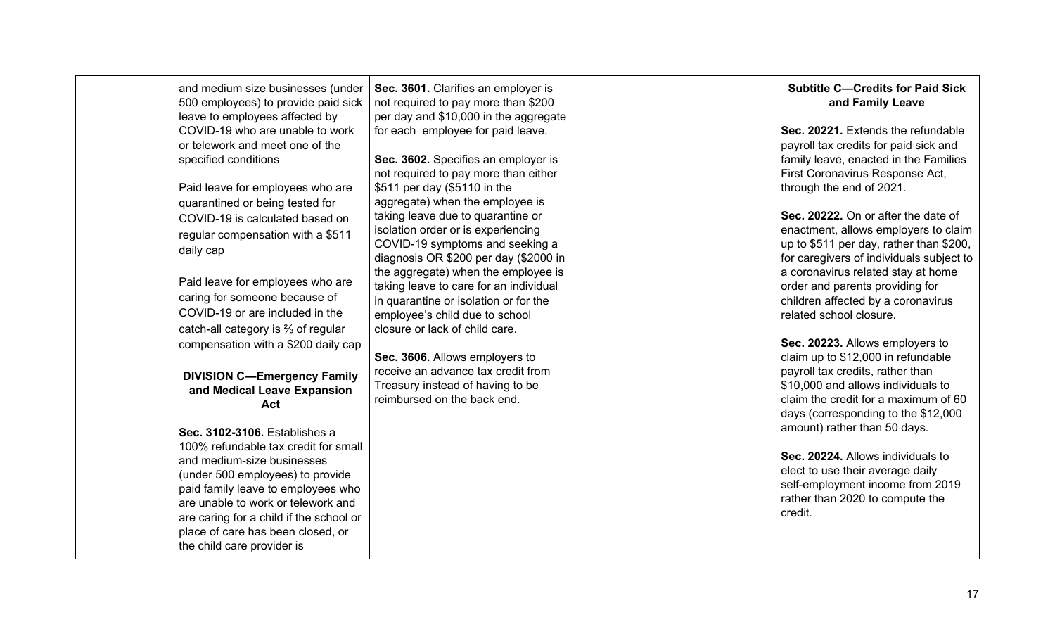| and medium size businesses (under<br>500 employees) to provide paid sick<br>leave to employees affected by<br>COVID-19 who are unable to work<br>or telework and meet one of the<br>specified conditions<br>Paid leave for employees who are<br>quarantined or being tested for<br>COVID-19 is calculated based on<br>regular compensation with a \$511<br>daily cap<br>Paid leave for employees who are<br>caring for someone because of<br>COVID-19 or are included in the<br>catch-all category is $\frac{2}{3}$ of regular<br>compensation with a \$200 daily cap<br><b>DIVISION C-Emergency Family</b><br>and Medical Leave Expansion<br>Act<br>Sec. 3102-3106. Establishes a<br>100% refundable tax credit for small<br>and medium-size businesses<br>(under 500 employees) to provide<br>paid family leave to employees who<br>are unable to work or telework and<br>are caring for a child if the school or<br>place of care has been closed, or<br>the child care provider is | Sec. 3601. Clarifies an employer is<br>not required to pay more than \$200<br>per day and \$10,000 in the aggregate<br>for each employee for paid leave.<br>Sec. 3602. Specifies an employer is<br>not required to pay more than either<br>\$511 per day (\$5110 in the<br>aggregate) when the employee is<br>taking leave due to quarantine or<br>isolation order or is experiencing<br>COVID-19 symptoms and seeking a<br>diagnosis OR \$200 per day (\$2000 in<br>the aggregate) when the employee is<br>taking leave to care for an individual<br>in quarantine or isolation or for the<br>employee's child due to school<br>closure or lack of child care.<br>Sec. 3606. Allows employers to<br>receive an advance tax credit from<br>Treasury instead of having to be<br>reimbursed on the back end. |  | <b>Subtitle C-Credits for Paid Sick</b><br>and Family Leave<br>Sec. 20221. Extends the refundable<br>payroll tax credits for paid sick and<br>family leave, enacted in the Families<br>First Coronavirus Response Act,<br>through the end of 2021.<br>Sec. 20222. On or after the date of<br>enactment, allows employers to claim<br>up to \$511 per day, rather than \$200,<br>for caregivers of individuals subject to<br>a coronavirus related stay at home<br>order and parents providing for<br>children affected by a coronavirus<br>related school closure.<br>Sec. 20223. Allows employers to<br>claim up to \$12,000 in refundable<br>payroll tax credits, rather than<br>\$10,000 and allows individuals to<br>claim the credit for a maximum of 60<br>days (corresponding to the \$12,000<br>amount) rather than 50 days.<br>Sec. 20224. Allows individuals to<br>elect to use their average daily<br>self-employment income from 2019<br>rather than 2020 to compute the<br>credit. |
|----------------------------------------------------------------------------------------------------------------------------------------------------------------------------------------------------------------------------------------------------------------------------------------------------------------------------------------------------------------------------------------------------------------------------------------------------------------------------------------------------------------------------------------------------------------------------------------------------------------------------------------------------------------------------------------------------------------------------------------------------------------------------------------------------------------------------------------------------------------------------------------------------------------------------------------------------------------------------------------|------------------------------------------------------------------------------------------------------------------------------------------------------------------------------------------------------------------------------------------------------------------------------------------------------------------------------------------------------------------------------------------------------------------------------------------------------------------------------------------------------------------------------------------------------------------------------------------------------------------------------------------------------------------------------------------------------------------------------------------------------------------------------------------------------------|--|-------------------------------------------------------------------------------------------------------------------------------------------------------------------------------------------------------------------------------------------------------------------------------------------------------------------------------------------------------------------------------------------------------------------------------------------------------------------------------------------------------------------------------------------------------------------------------------------------------------------------------------------------------------------------------------------------------------------------------------------------------------------------------------------------------------------------------------------------------------------------------------------------------------------------------------------------------------------------------------------------|
|----------------------------------------------------------------------------------------------------------------------------------------------------------------------------------------------------------------------------------------------------------------------------------------------------------------------------------------------------------------------------------------------------------------------------------------------------------------------------------------------------------------------------------------------------------------------------------------------------------------------------------------------------------------------------------------------------------------------------------------------------------------------------------------------------------------------------------------------------------------------------------------------------------------------------------------------------------------------------------------|------------------------------------------------------------------------------------------------------------------------------------------------------------------------------------------------------------------------------------------------------------------------------------------------------------------------------------------------------------------------------------------------------------------------------------------------------------------------------------------------------------------------------------------------------------------------------------------------------------------------------------------------------------------------------------------------------------------------------------------------------------------------------------------------------------|--|-------------------------------------------------------------------------------------------------------------------------------------------------------------------------------------------------------------------------------------------------------------------------------------------------------------------------------------------------------------------------------------------------------------------------------------------------------------------------------------------------------------------------------------------------------------------------------------------------------------------------------------------------------------------------------------------------------------------------------------------------------------------------------------------------------------------------------------------------------------------------------------------------------------------------------------------------------------------------------------------------|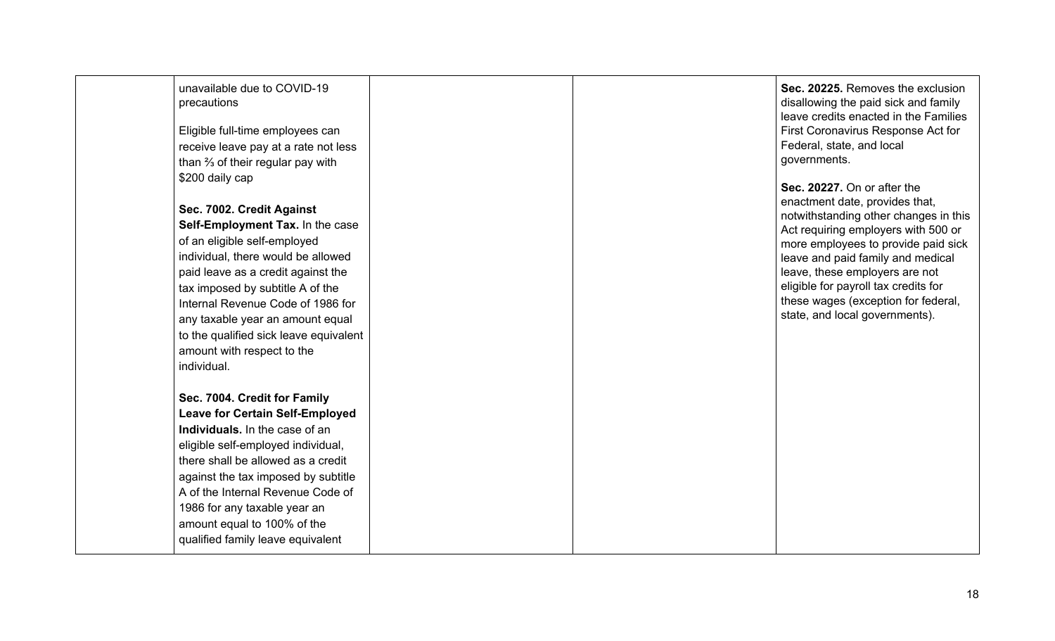| unavailable due to COVID-19<br>precautions<br>Eligible full-time employees can<br>receive leave pay at a rate not less<br>than $\frac{2}{3}$ of their regular pay with<br>\$200 daily cap<br>Sec. 7002. Credit Against<br>Self-Employment Tax. In the case<br>of an eligible self-employed<br>individual, there would be allowed<br>paid leave as a credit against the<br>tax imposed by subtitle A of the<br>Internal Revenue Code of 1986 for<br>any taxable year an amount equal<br>to the qualified sick leave equivalent<br>amount with respect to the<br>individual. |  | Sec. 20225. Removes the exclusion<br>disallowing the paid sick and family<br>leave credits enacted in the Families<br>First Coronavirus Response Act for<br>Federal, state, and local<br>governments.<br>Sec. 20227. On or after the<br>enactment date, provides that,<br>notwithstanding other changes in this<br>Act requiring employers with 500 or<br>more employees to provide paid sick<br>leave and paid family and medical<br>leave, these employers are not<br>eligible for payroll tax credits for<br>these wages (exception for federal,<br>state, and local governments). |
|----------------------------------------------------------------------------------------------------------------------------------------------------------------------------------------------------------------------------------------------------------------------------------------------------------------------------------------------------------------------------------------------------------------------------------------------------------------------------------------------------------------------------------------------------------------------------|--|---------------------------------------------------------------------------------------------------------------------------------------------------------------------------------------------------------------------------------------------------------------------------------------------------------------------------------------------------------------------------------------------------------------------------------------------------------------------------------------------------------------------------------------------------------------------------------------|
| Sec. 7004. Credit for Family<br><b>Leave for Certain Self-Employed</b><br>Individuals. In the case of an<br>eligible self-employed individual,<br>there shall be allowed as a credit<br>against the tax imposed by subtitle<br>A of the Internal Revenue Code of<br>1986 for any taxable year an<br>amount equal to 100% of the<br>qualified family leave equivalent                                                                                                                                                                                                       |  |                                                                                                                                                                                                                                                                                                                                                                                                                                                                                                                                                                                       |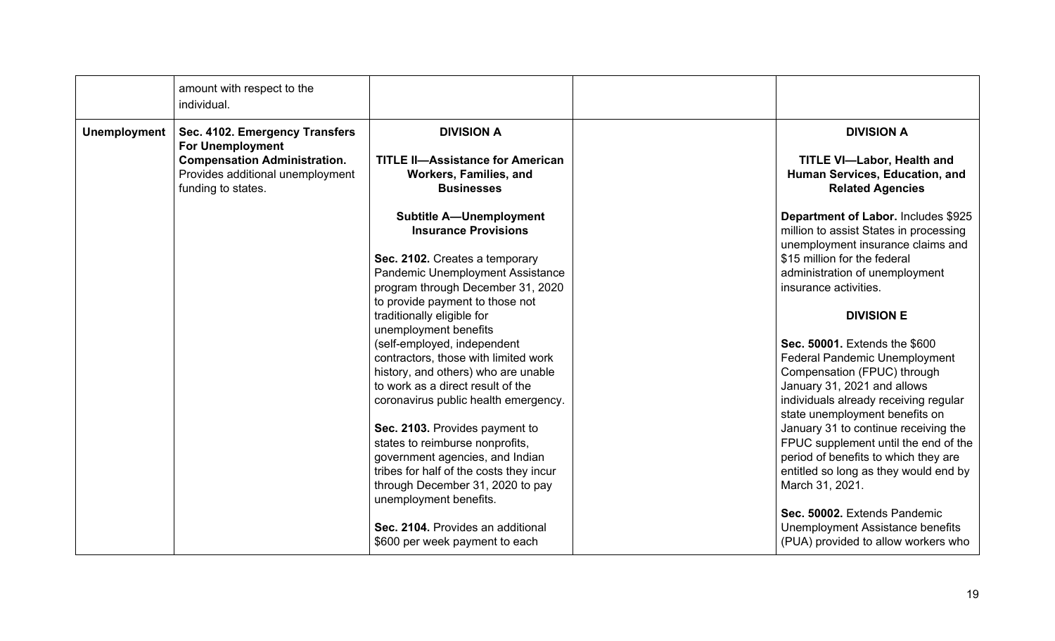|                     | amount with respect to the<br>individual.                                                     |                                                                                                          |                                                                                                                    |
|---------------------|-----------------------------------------------------------------------------------------------|----------------------------------------------------------------------------------------------------------|--------------------------------------------------------------------------------------------------------------------|
| <b>Unemployment</b> | Sec. 4102. Emergency Transfers<br><b>For Unemployment</b>                                     | <b>DIVISION A</b>                                                                                        | <b>DIVISION A</b>                                                                                                  |
|                     | <b>Compensation Administration.</b><br>Provides additional unemployment<br>funding to states. | <b>TITLE II-Assistance for American</b><br>Workers, Families, and<br><b>Businesses</b>                   | <b>TITLE VI-Labor, Health and</b><br>Human Services, Education, and<br><b>Related Agencies</b>                     |
|                     |                                                                                               | <b>Subtitle A-Unemployment</b><br><b>Insurance Provisions</b>                                            | Department of Labor. Includes \$925<br>million to assist States in processing<br>unemployment insurance claims and |
|                     |                                                                                               | Sec. 2102. Creates a temporary                                                                           | \$15 million for the federal                                                                                       |
|                     |                                                                                               | Pandemic Unemployment Assistance<br>program through December 31, 2020<br>to provide payment to those not | administration of unemployment<br>insurance activities.                                                            |
|                     |                                                                                               | traditionally eligible for<br>unemployment benefits                                                      | <b>DIVISION E</b>                                                                                                  |
|                     |                                                                                               | (self-employed, independent                                                                              | Sec. 50001. Extends the \$600                                                                                      |
|                     |                                                                                               | contractors, those with limited work                                                                     | <b>Federal Pandemic Unemployment</b>                                                                               |
|                     |                                                                                               | history, and others) who are unable<br>to work as a direct result of the                                 | Compensation (FPUC) through<br>January 31, 2021 and allows                                                         |
|                     |                                                                                               | coronavirus public health emergency.                                                                     | individuals already receiving regular<br>state unemployment benefits on                                            |
|                     |                                                                                               | Sec. 2103. Provides payment to                                                                           | January 31 to continue receiving the                                                                               |
|                     |                                                                                               | states to reimburse nonprofits,                                                                          | FPUC supplement until the end of the                                                                               |
|                     |                                                                                               | government agencies, and Indian<br>tribes for half of the costs they incur                               | period of benefits to which they are<br>entitled so long as they would end by                                      |
|                     |                                                                                               | through December 31, 2020 to pay<br>unemployment benefits.                                               | March 31, 2021.                                                                                                    |
|                     |                                                                                               |                                                                                                          | Sec. 50002. Extends Pandemic                                                                                       |
|                     |                                                                                               | Sec. 2104. Provides an additional<br>\$600 per week payment to each                                      | <b>Unemployment Assistance benefits</b><br>(PUA) provided to allow workers who                                     |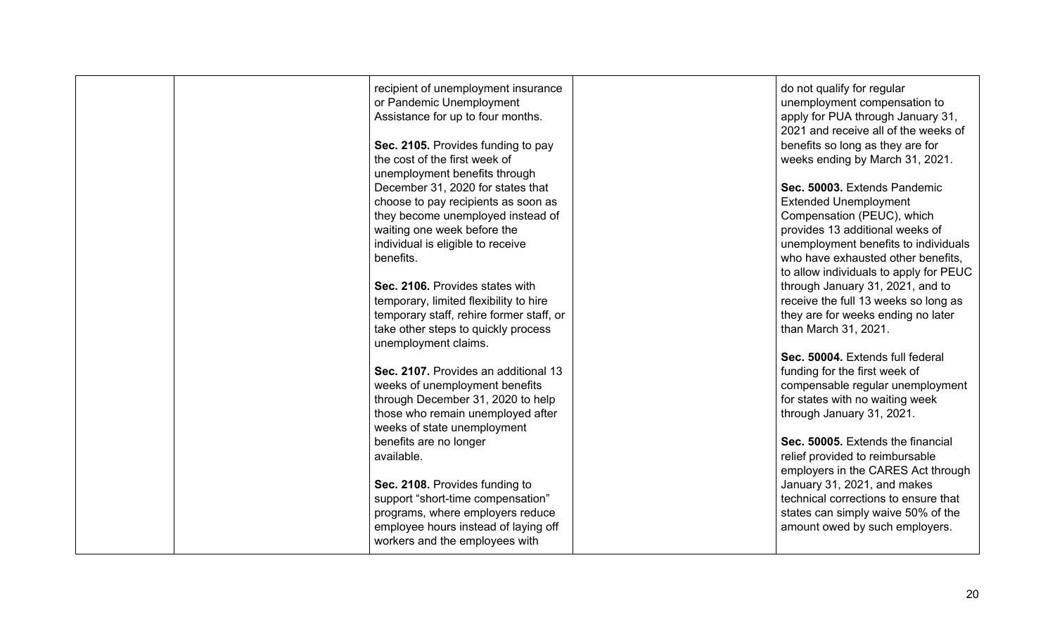|  | recipient of unemployment insurance      | do not qualify for regular             |
|--|------------------------------------------|----------------------------------------|
|  | or Pandemic Unemployment                 | unemployment compensation to           |
|  | Assistance for up to four months.        | apply for PUA through January 31,      |
|  |                                          | 2021 and receive all of the weeks of   |
|  | Sec. 2105. Provides funding to pay       | benefits so long as they are for       |
|  | the cost of the first week of            | weeks ending by March 31, 2021.        |
|  | unemployment benefits through            |                                        |
|  | December 31, 2020 for states that        | Sec. 50003. Extends Pandemic           |
|  | choose to pay recipients as soon as      | <b>Extended Unemployment</b>           |
|  |                                          |                                        |
|  | they become unemployed instead of        | Compensation (PEUC), which             |
|  | waiting one week before the              | provides 13 additional weeks of        |
|  | individual is eligible to receive        | unemployment benefits to individuals   |
|  | benefits.                                | who have exhausted other benefits.     |
|  |                                          | to allow individuals to apply for PEUC |
|  | Sec. 2106. Provides states with          | through January 31, 2021, and to       |
|  | temporary, limited flexibility to hire   | receive the full 13 weeks so long as   |
|  | temporary staff, rehire former staff, or | they are for weeks ending no later     |
|  | take other steps to quickly process      | than March 31, 2021.                   |
|  | unemployment claims.                     |                                        |
|  |                                          | Sec. 50004. Extends full federal       |
|  | Sec. 2107. Provides an additional 13     | funding for the first week of          |
|  | weeks of unemployment benefits           | compensable regular unemployment       |
|  |                                          |                                        |
|  | through December 31, 2020 to help        | for states with no waiting week        |
|  | those who remain unemployed after        | through January 31, 2021.              |
|  | weeks of state unemployment              |                                        |
|  | benefits are no longer                   | Sec. 50005. Extends the financial      |
|  | available.                               | relief provided to reimbursable        |
|  |                                          | employers in the CARES Act through     |
|  | Sec. 2108. Provides funding to           | January 31, 2021, and makes            |
|  | support "short-time compensation"        | technical corrections to ensure that   |
|  | programs, where employers reduce         | states can simply waive 50% of the     |
|  | employee hours instead of laying off     | amount owed by such employers.         |
|  | workers and the employees with           |                                        |
|  |                                          |                                        |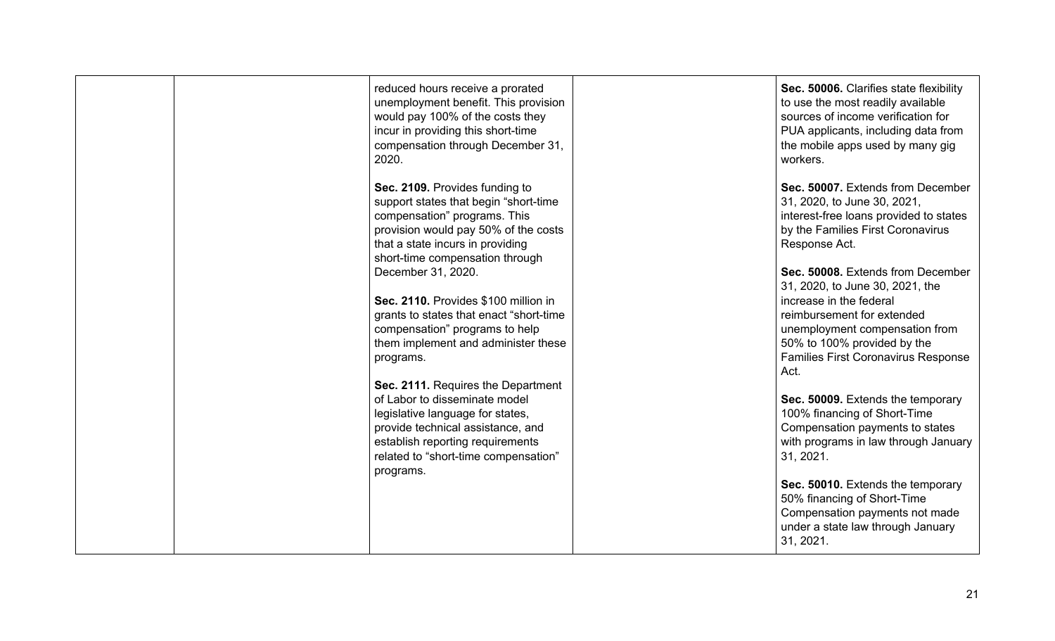| reduced hours receive a prorated<br>unemployment benefit. This provision<br>would pay 100% of the costs they<br>incur in providing this short-time<br>compensation through December 31,<br>2020.                                      | Sec. 50006. Clarifies state flexibility<br>to use the most readily available<br>sources of income verification for<br>PUA applicants, including data from<br>the mobile apps used by many gig<br>workers.                                            |
|---------------------------------------------------------------------------------------------------------------------------------------------------------------------------------------------------------------------------------------|------------------------------------------------------------------------------------------------------------------------------------------------------------------------------------------------------------------------------------------------------|
| Sec. 2109. Provides funding to<br>support states that begin "short-time"<br>compensation" programs. This<br>provision would pay 50% of the costs<br>that a state incurs in providing<br>short-time compensation through               | Sec. 50007. Extends from December<br>31, 2020, to June 30, 2021,<br>interest-free loans provided to states<br>by the Families First Coronavirus<br>Response Act.                                                                                     |
| December 31, 2020.<br>Sec. 2110. Provides \$100 million in<br>grants to states that enact "short-time<br>compensation" programs to help<br>them implement and administer these<br>programs.                                           | Sec. 50008. Extends from December<br>31, 2020, to June 30, 2021, the<br>increase in the federal<br>reimbursement for extended<br>unemployment compensation from<br>50% to 100% provided by the<br><b>Families First Coronavirus Response</b><br>Act. |
| Sec. 2111. Requires the Department<br>of Labor to disseminate model<br>legislative language for states,<br>provide technical assistance, and<br>establish reporting requirements<br>related to "short-time compensation"<br>programs. | Sec. 50009. Extends the temporary<br>100% financing of Short-Time<br>Compensation payments to states<br>with programs in law through January<br>31, 2021.                                                                                            |
|                                                                                                                                                                                                                                       | Sec. 50010. Extends the temporary<br>50% financing of Short-Time<br>Compensation payments not made<br>under a state law through January<br>31, 2021.                                                                                                 |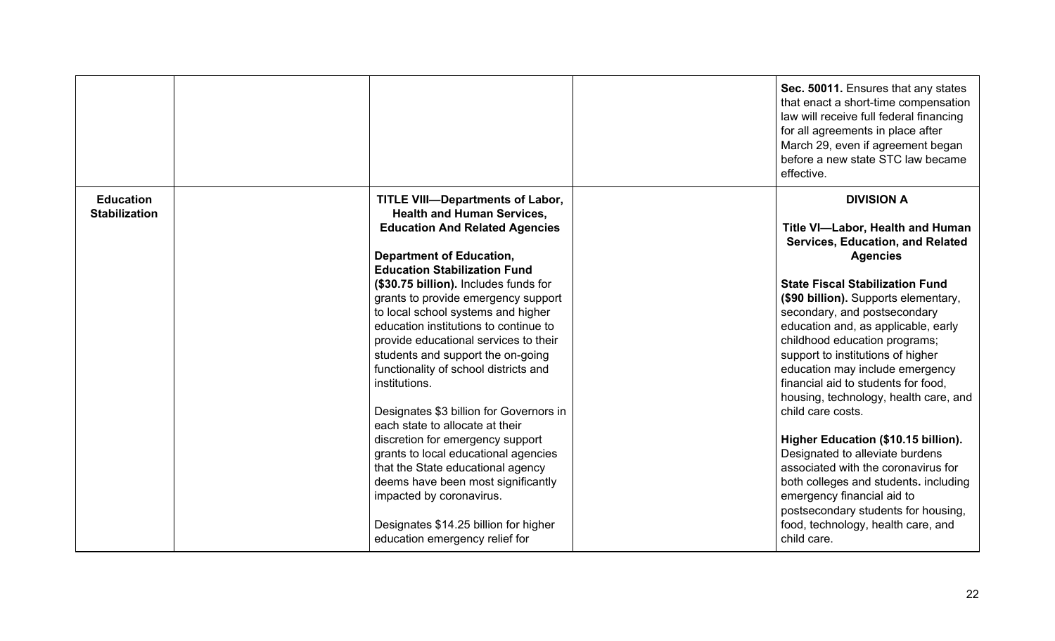|                                          |                                                                                                                                                                                                                                                                                                                                                                                                                                                                                                                                                                                                                                                                                                                                                                                                                                                    | Sec. 50011. Ensures that any states<br>that enact a short-time compensation<br>law will receive full federal financing<br>for all agreements in place after<br>March 29, even if agreement began<br>before a new state STC law became<br>effective.                                                                                                                                                                                                                                                                                                                                                                                                                                                                                                                     |
|------------------------------------------|----------------------------------------------------------------------------------------------------------------------------------------------------------------------------------------------------------------------------------------------------------------------------------------------------------------------------------------------------------------------------------------------------------------------------------------------------------------------------------------------------------------------------------------------------------------------------------------------------------------------------------------------------------------------------------------------------------------------------------------------------------------------------------------------------------------------------------------------------|-------------------------------------------------------------------------------------------------------------------------------------------------------------------------------------------------------------------------------------------------------------------------------------------------------------------------------------------------------------------------------------------------------------------------------------------------------------------------------------------------------------------------------------------------------------------------------------------------------------------------------------------------------------------------------------------------------------------------------------------------------------------------|
| <b>Education</b><br><b>Stabilization</b> | <b>TITLE VIII-Departments of Labor,</b><br><b>Health and Human Services,</b><br><b>Education And Related Agencies</b><br><b>Department of Education,</b><br><b>Education Stabilization Fund</b><br>(\$30.75 billion). Includes funds for<br>grants to provide emergency support<br>to local school systems and higher<br>education institutions to continue to<br>provide educational services to their<br>students and support the on-going<br>functionality of school districts and<br>institutions.<br>Designates \$3 billion for Governors in<br>each state to allocate at their<br>discretion for emergency support<br>grants to local educational agencies<br>that the State educational agency<br>deems have been most significantly<br>impacted by coronavirus.<br>Designates \$14.25 billion for higher<br>education emergency relief for | <b>DIVISION A</b><br>Title VI-Labor, Health and Human<br>Services, Education, and Related<br><b>Agencies</b><br><b>State Fiscal Stabilization Fund</b><br>(\$90 billion). Supports elementary,<br>secondary, and postsecondary<br>education and, as applicable, early<br>childhood education programs;<br>support to institutions of higher<br>education may include emergency<br>financial aid to students for food,<br>housing, technology, health care, and<br>child care costs.<br>Higher Education (\$10.15 billion).<br>Designated to alleviate burdens<br>associated with the coronavirus for<br>both colleges and students. including<br>emergency financial aid to<br>postsecondary students for housing,<br>food, technology, health care, and<br>child care. |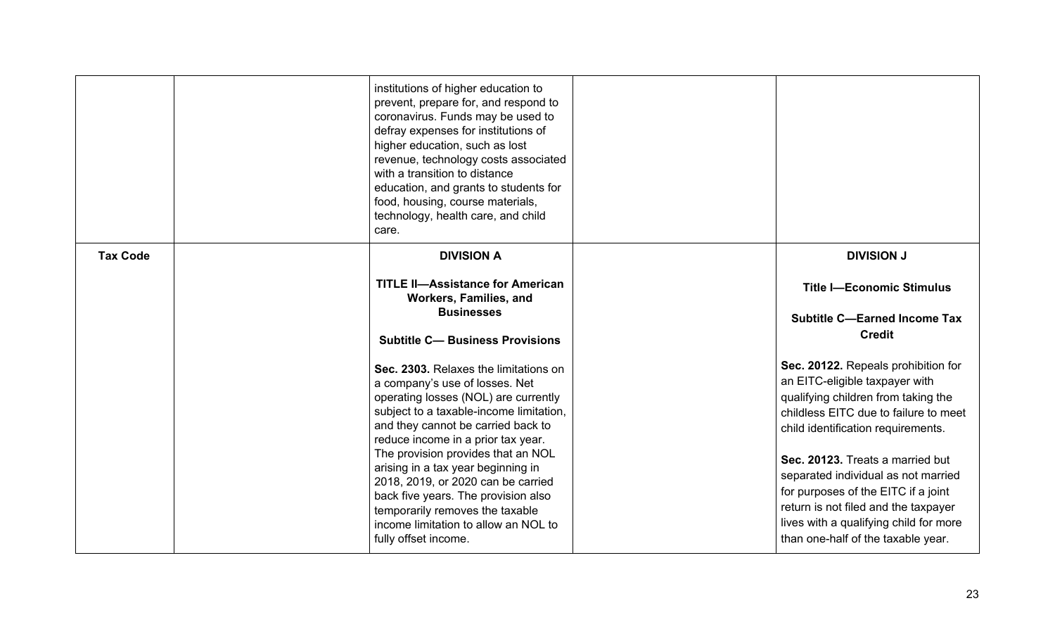|                 | institutions of higher education to<br>prevent, prepare for, and respond to<br>coronavirus. Funds may be used to<br>defray expenses for institutions of<br>higher education, such as lost<br>revenue, technology costs associated<br>with a transition to distance<br>education, and grants to students for<br>food, housing, course materials,<br>technology, health care, and child<br>care.                                                                                                                                               |                                                                                                                                                                                                                                                                                                                                                                                                                                                        |
|-----------------|----------------------------------------------------------------------------------------------------------------------------------------------------------------------------------------------------------------------------------------------------------------------------------------------------------------------------------------------------------------------------------------------------------------------------------------------------------------------------------------------------------------------------------------------|--------------------------------------------------------------------------------------------------------------------------------------------------------------------------------------------------------------------------------------------------------------------------------------------------------------------------------------------------------------------------------------------------------------------------------------------------------|
| <b>Tax Code</b> | <b>DIVISION A</b><br><b>TITLE II-Assistance for American</b><br>Workers, Families, and<br><b>Businesses</b>                                                                                                                                                                                                                                                                                                                                                                                                                                  | <b>DIVISION J</b><br><b>Title I-Economic Stimulus</b><br><b>Subtitle C-Earned Income Tax</b>                                                                                                                                                                                                                                                                                                                                                           |
|                 | <b>Subtitle C- Business Provisions</b><br>Sec. 2303. Relaxes the limitations on<br>a company's use of losses. Net<br>operating losses (NOL) are currently<br>subject to a taxable-income limitation,<br>and they cannot be carried back to<br>reduce income in a prior tax year.<br>The provision provides that an NOL<br>arising in a tax year beginning in<br>2018, 2019, or 2020 can be carried<br>back five years. The provision also<br>temporarily removes the taxable<br>income limitation to allow an NOL to<br>fully offset income. | <b>Credit</b><br>Sec. 20122. Repeals prohibition for<br>an EITC-eligible taxpayer with<br>qualifying children from taking the<br>childless EITC due to failure to meet<br>child identification requirements.<br>Sec. 20123. Treats a married but<br>separated individual as not married<br>for purposes of the EITC if a joint<br>return is not filed and the taxpayer<br>lives with a qualifying child for more<br>than one-half of the taxable year. |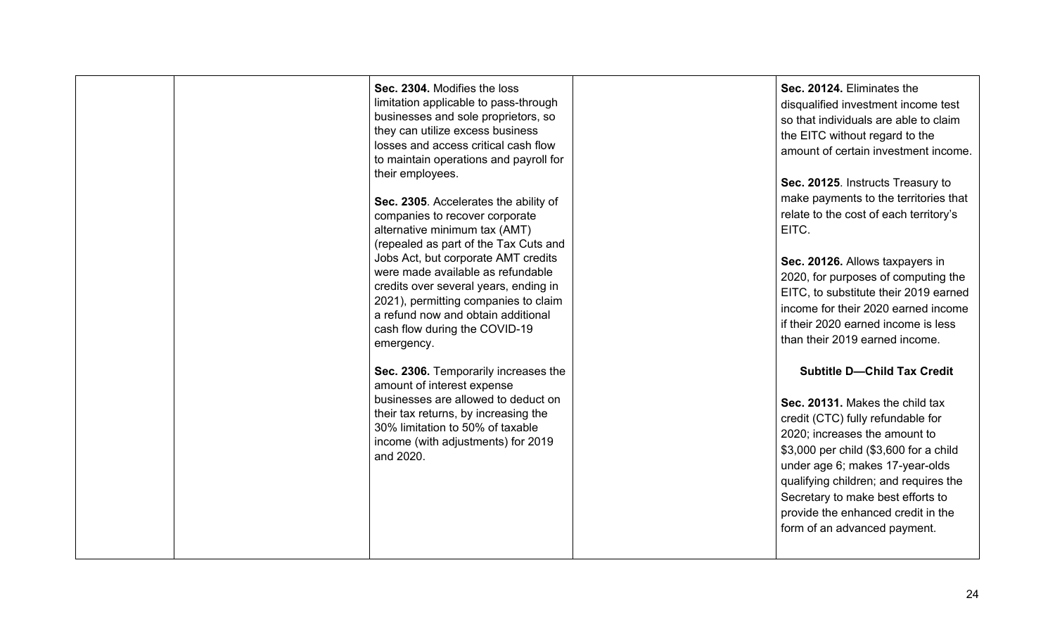|  | Sec. 2304. Modifies the loss<br>limitation applicable to pass-through<br>businesses and sole proprietors, so<br>they can utilize excess business<br>losses and access critical cash flow<br>to maintain operations and payroll for<br>their employees.<br>Sec. 2305. Accelerates the ability of<br>companies to recover corporate<br>alternative minimum tax (AMT)<br>(repealed as part of the Tax Cuts and<br>Jobs Act, but corporate AMT credits<br>were made available as refundable<br>credits over several years, ending in<br>2021), permitting companies to claim<br>a refund now and obtain additional<br>cash flow during the COVID-19<br>emergency. | Sec. 20124. Eliminates the<br>disqualified investment income test<br>so that individuals are able to claim<br>the EITC without regard to the<br>amount of certain investment income.<br>Sec. 20125. Instructs Treasury to<br>make payments to the territories that<br>relate to the cost of each territory's<br>EITC.<br>Sec. 20126. Allows taxpayers in<br>2020, for purposes of computing the<br>EITC, to substitute their 2019 earned<br>income for their 2020 earned income<br>if their 2020 earned income is less<br>than their 2019 earned income. |
|--|---------------------------------------------------------------------------------------------------------------------------------------------------------------------------------------------------------------------------------------------------------------------------------------------------------------------------------------------------------------------------------------------------------------------------------------------------------------------------------------------------------------------------------------------------------------------------------------------------------------------------------------------------------------|----------------------------------------------------------------------------------------------------------------------------------------------------------------------------------------------------------------------------------------------------------------------------------------------------------------------------------------------------------------------------------------------------------------------------------------------------------------------------------------------------------------------------------------------------------|
|  | Sec. 2306. Temporarily increases the<br>amount of interest expense<br>businesses are allowed to deduct on<br>their tax returns, by increasing the<br>30% limitation to 50% of taxable<br>income (with adjustments) for 2019<br>and 2020.                                                                                                                                                                                                                                                                                                                                                                                                                      | <b>Subtitle D-Child Tax Credit</b><br>Sec. 20131. Makes the child tax<br>credit (CTC) fully refundable for<br>2020; increases the amount to<br>\$3,000 per child (\$3,600 for a child<br>under age 6; makes 17-year-olds<br>qualifying children; and requires the<br>Secretary to make best efforts to<br>provide the enhanced credit in the<br>form of an advanced payment.                                                                                                                                                                             |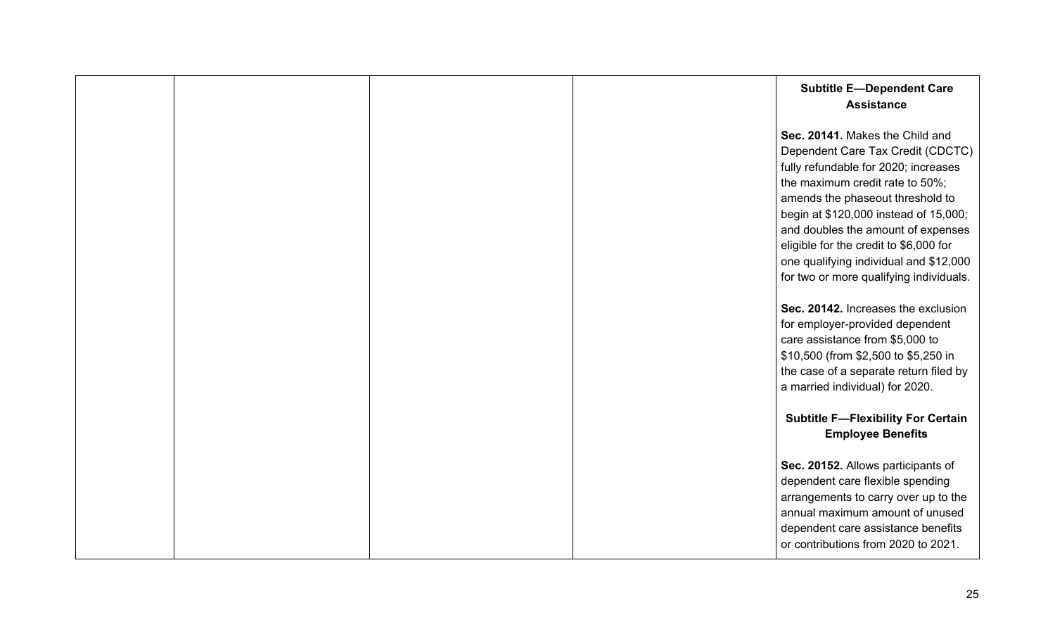|  |  | <b>Subtitle E-Dependent Care</b><br><b>Assistance</b>                                                                                                                                                                                                                                                                                                                                             |
|--|--|---------------------------------------------------------------------------------------------------------------------------------------------------------------------------------------------------------------------------------------------------------------------------------------------------------------------------------------------------------------------------------------------------|
|  |  | Sec. 20141. Makes the Child and<br>Dependent Care Tax Credit (CDCTC)<br>fully refundable for 2020; increases<br>the maximum credit rate to 50%;<br>amends the phaseout threshold to<br>begin at \$120,000 instead of 15,000;<br>and doubles the amount of expenses<br>eligible for the credit to \$6,000 for<br>one qualifying individual and \$12,000<br>for two or more qualifying individuals. |
|  |  | Sec. 20142. Increases the exclusion<br>for employer-provided dependent<br>care assistance from \$5,000 to<br>\$10,500 (from \$2,500 to \$5,250 in<br>the case of a separate return filed by<br>a married individual) for 2020.                                                                                                                                                                    |
|  |  | <b>Subtitle F-Flexibility For Certain</b><br><b>Employee Benefits</b>                                                                                                                                                                                                                                                                                                                             |
|  |  | Sec. 20152. Allows participants of<br>dependent care flexible spending<br>arrangements to carry over up to the<br>annual maximum amount of unused<br>dependent care assistance benefits<br>or contributions from 2020 to 2021.                                                                                                                                                                    |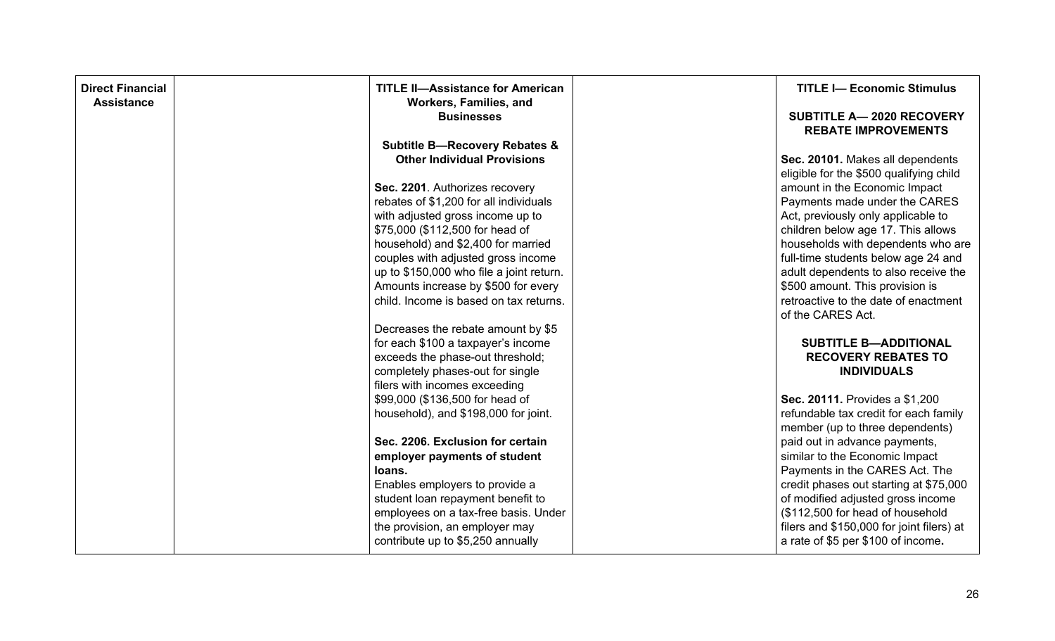| <b>Direct Financial</b><br><b>Assistance</b> | <b>TITLE II-Assistance for American</b><br>Workers, Families, and | <b>TITLE I- Economic Stimulus</b>                                           |
|----------------------------------------------|-------------------------------------------------------------------|-----------------------------------------------------------------------------|
|                                              | <b>Businesses</b>                                                 | <b>SUBTITLE A-2020 RECOVERY</b><br><b>REBATE IMPROVEMENTS</b>               |
|                                              | <b>Subtitle B-Recovery Rebates &amp;</b>                          |                                                                             |
|                                              | <b>Other Individual Provisions</b>                                | Sec. 20101. Makes all dependents<br>eligible for the \$500 qualifying child |
|                                              | Sec. 2201. Authorizes recovery                                    | amount in the Economic Impact                                               |
|                                              | rebates of \$1,200 for all individuals                            | Payments made under the CARES                                               |
|                                              | with adjusted gross income up to                                  | Act, previously only applicable to                                          |
|                                              | \$75,000 (\$112,500 for head of                                   | children below age 17. This allows                                          |
|                                              | household) and \$2,400 for married                                | households with dependents who are                                          |
|                                              | couples with adjusted gross income                                | full-time students below age 24 and                                         |
|                                              | up to \$150,000 who file a joint return.                          | adult dependents to also receive the                                        |
|                                              | Amounts increase by \$500 for every                               | \$500 amount. This provision is                                             |
|                                              | child. Income is based on tax returns.                            | retroactive to the date of enactment                                        |
|                                              |                                                                   | of the CARES Act.                                                           |
|                                              | Decreases the rebate amount by \$5                                |                                                                             |
|                                              | for each \$100 a taxpayer's income                                | <b>SUBTITLE B-ADDITIONAL</b>                                                |
|                                              | exceeds the phase-out threshold;                                  | <b>RECOVERY REBATES TO</b>                                                  |
|                                              | completely phases-out for single                                  | <b>INDIVIDUALS</b>                                                          |
|                                              | filers with incomes exceeding                                     |                                                                             |
|                                              | \$99,000 (\$136,500 for head of                                   | Sec. 20111. Provides a \$1,200                                              |
|                                              | household), and \$198,000 for joint.                              | refundable tax credit for each family                                       |
|                                              |                                                                   | member (up to three dependents)                                             |
|                                              | Sec. 2206. Exclusion for certain                                  | paid out in advance payments,                                               |
|                                              | employer payments of student                                      | similar to the Economic Impact                                              |
|                                              | loans.                                                            | Payments in the CARES Act. The                                              |
|                                              | Enables employers to provide a                                    | credit phases out starting at \$75,000                                      |
|                                              | student loan repayment benefit to                                 | of modified adjusted gross income                                           |
|                                              | employees on a tax-free basis. Under                              | (\$112,500 for head of household                                            |
|                                              | the provision, an employer may                                    | filers and \$150,000 for joint filers) at                                   |
|                                              | contribute up to \$5,250 annually                                 | a rate of \$5 per \$100 of income.                                          |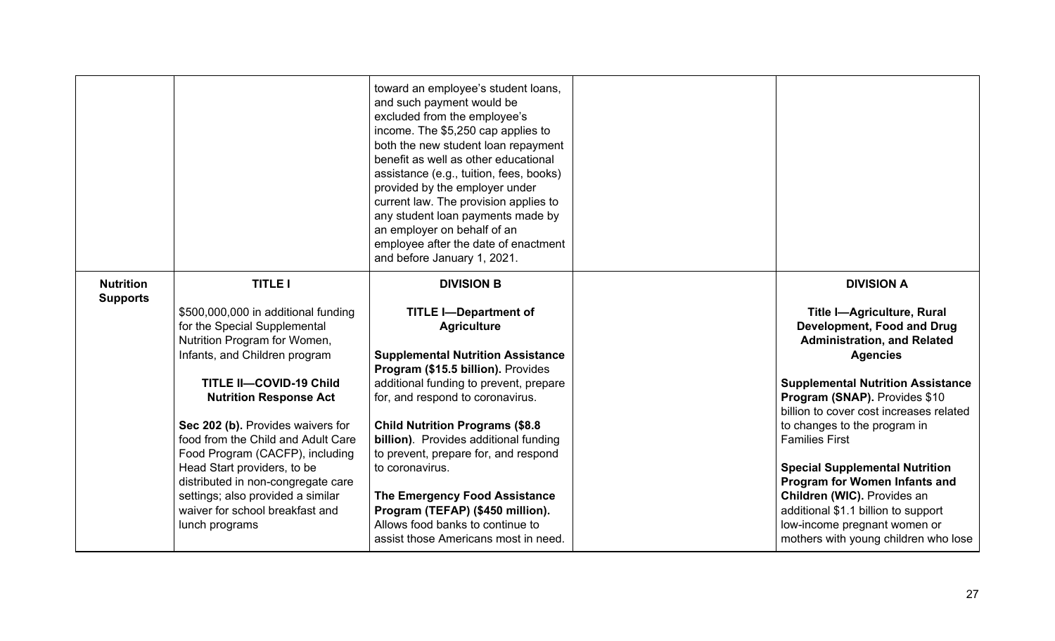|                                     |                                                                      | toward an employee's student loans,<br>and such payment would be<br>excluded from the employee's<br>income. The \$5,250 cap applies to<br>both the new student loan repayment<br>benefit as well as other educational<br>assistance (e.g., tuition, fees, books)<br>provided by the employer under<br>current law. The provision applies to<br>any student loan payments made by<br>an employer on behalf of an<br>employee after the date of enactment<br>and before January 1, 2021. |                                                                    |
|-------------------------------------|----------------------------------------------------------------------|----------------------------------------------------------------------------------------------------------------------------------------------------------------------------------------------------------------------------------------------------------------------------------------------------------------------------------------------------------------------------------------------------------------------------------------------------------------------------------------|--------------------------------------------------------------------|
| <b>Nutrition</b><br><b>Supports</b> | <b>TITLE I</b><br>\$500,000,000 in additional funding                | <b>DIVISION B</b><br><b>TITLE I-Department of</b>                                                                                                                                                                                                                                                                                                                                                                                                                                      | <b>DIVISION A</b><br><b>Title I-Agriculture, Rural</b>             |
|                                     | for the Special Supplemental                                         | <b>Agriculture</b>                                                                                                                                                                                                                                                                                                                                                                                                                                                                     | Development, Food and Drug                                         |
|                                     | Nutrition Program for Women,<br>Infants, and Children program        | <b>Supplemental Nutrition Assistance</b>                                                                                                                                                                                                                                                                                                                                                                                                                                               | <b>Administration, and Related</b><br><b>Agencies</b>              |
|                                     |                                                                      | Program (\$15.5 billion). Provides                                                                                                                                                                                                                                                                                                                                                                                                                                                     |                                                                    |
|                                     | <b>TITLE II-COVID-19 Child</b>                                       | additional funding to prevent, prepare                                                                                                                                                                                                                                                                                                                                                                                                                                                 | <b>Supplemental Nutrition Assistance</b>                           |
|                                     | <b>Nutrition Response Act</b>                                        | for, and respond to coronavirus.                                                                                                                                                                                                                                                                                                                                                                                                                                                       | Program (SNAP). Provides \$10                                      |
|                                     | Sec 202 (b). Provides waivers for                                    | <b>Child Nutrition Programs (\$8.8</b>                                                                                                                                                                                                                                                                                                                                                                                                                                                 | billion to cover cost increases related                            |
|                                     | food from the Child and Adult Care                                   | billion). Provides additional funding                                                                                                                                                                                                                                                                                                                                                                                                                                                  | to changes to the program in<br><b>Families First</b>              |
|                                     | Food Program (CACFP), including                                      | to prevent, prepare for, and respond                                                                                                                                                                                                                                                                                                                                                                                                                                                   |                                                                    |
|                                     | Head Start providers, to be                                          | to coronavirus.                                                                                                                                                                                                                                                                                                                                                                                                                                                                        | <b>Special Supplemental Nutrition</b>                              |
|                                     | distributed in non-congregate care                                   |                                                                                                                                                                                                                                                                                                                                                                                                                                                                                        | Program for Women Infants and                                      |
|                                     | settings; also provided a similar<br>waiver for school breakfast and | The Emergency Food Assistance<br>Program (TEFAP) (\$450 million).                                                                                                                                                                                                                                                                                                                                                                                                                      | Children (WIC). Provides an<br>additional \$1.1 billion to support |
|                                     | lunch programs                                                       | Allows food banks to continue to                                                                                                                                                                                                                                                                                                                                                                                                                                                       | low-income pregnant women or                                       |
|                                     |                                                                      | assist those Americans most in need.                                                                                                                                                                                                                                                                                                                                                                                                                                                   | mothers with young children who lose                               |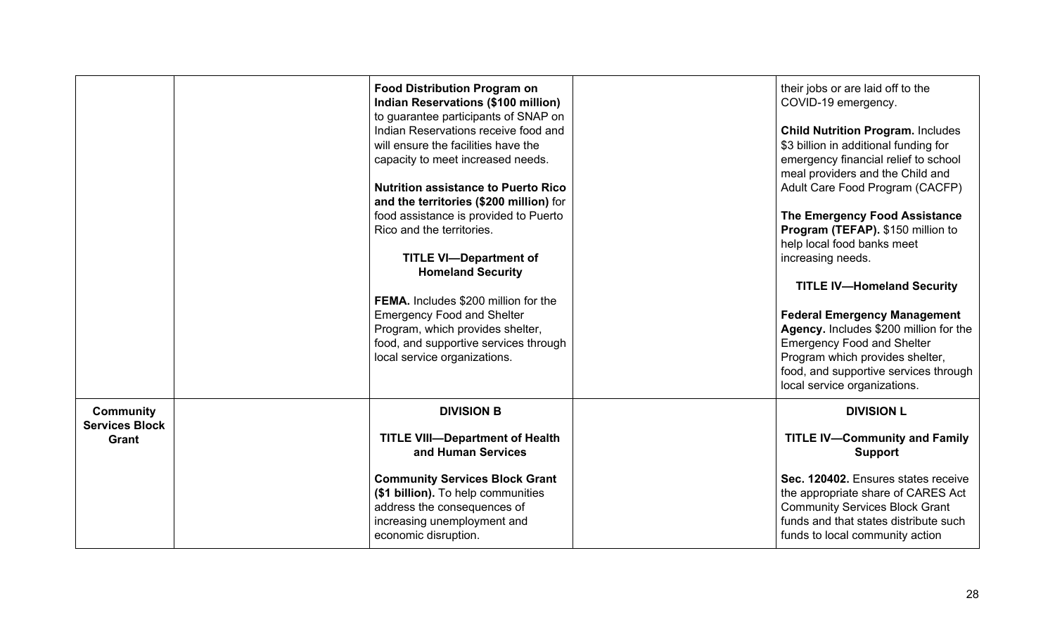|                       | <b>Food Distribution Program on</b>        | their jobs or are laid off to the        |
|-----------------------|--------------------------------------------|------------------------------------------|
|                       | Indian Reservations (\$100 million)        | COVID-19 emergency.                      |
|                       | to guarantee participants of SNAP on       |                                          |
|                       | Indian Reservations receive food and       | <b>Child Nutrition Program. Includes</b> |
|                       | will ensure the facilities have the        | \$3 billion in additional funding for    |
|                       | capacity to meet increased needs.          | emergency financial relief to school     |
|                       |                                            | meal providers and the Child and         |
|                       | <b>Nutrition assistance to Puerto Rico</b> | Adult Care Food Program (CACFP)          |
|                       | and the territories (\$200 million) for    |                                          |
|                       | food assistance is provided to Puerto      | The Emergency Food Assistance            |
|                       | Rico and the territories.                  | Program (TEFAP). \$150 million to        |
|                       |                                            | help local food banks meet               |
|                       | <b>TITLE VI-Department of</b>              | increasing needs.                        |
|                       | <b>Homeland Security</b>                   |                                          |
|                       |                                            | <b>TITLE IV-Homeland Security</b>        |
|                       | FEMA. Includes \$200 million for the       |                                          |
|                       | <b>Emergency Food and Shelter</b>          | <b>Federal Emergency Management</b>      |
|                       | Program, which provides shelter,           | Agency. Includes \$200 million for the   |
|                       | food, and supportive services through      | <b>Emergency Food and Shelter</b>        |
|                       | local service organizations.               | Program which provides shelter,          |
|                       |                                            | food, and supportive services through    |
|                       |                                            | local service organizations.             |
|                       |                                            |                                          |
| <b>Community</b>      | <b>DIVISION B</b>                          | <b>DIVISION L</b>                        |
| <b>Services Block</b> |                                            |                                          |
| Grant                 | <b>TITLE VIII-Department of Health</b>     | <b>TITLE IV-Community and Family</b>     |
|                       | and Human Services                         | <b>Support</b>                           |
|                       | <b>Community Services Block Grant</b>      | Sec. 120402. Ensures states receive      |
|                       | (\$1 billion). To help communities         | the appropriate share of CARES Act       |
|                       | address the consequences of                | <b>Community Services Block Grant</b>    |
|                       | increasing unemployment and                | funds and that states distribute such    |
|                       | economic disruption.                       | funds to local community action          |
|                       |                                            |                                          |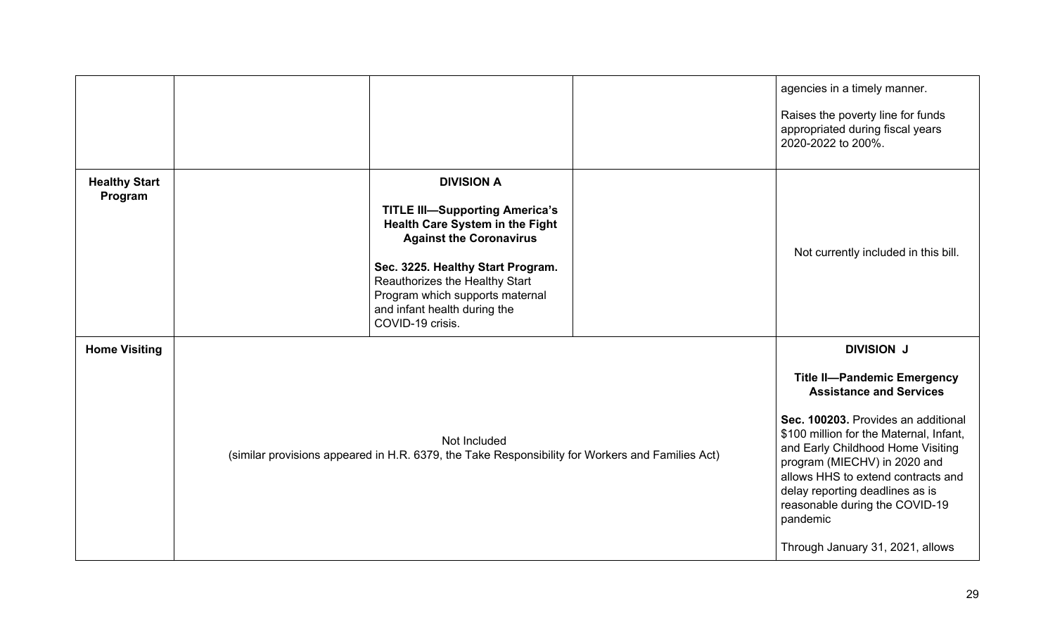|                                 |                                                                                                                  |                                                                                                                                                                                                                                                                                               |                                                                                                                                                                                                                                                                                                                                                                                        | agencies in a timely manner.                                                                |
|---------------------------------|------------------------------------------------------------------------------------------------------------------|-----------------------------------------------------------------------------------------------------------------------------------------------------------------------------------------------------------------------------------------------------------------------------------------------|----------------------------------------------------------------------------------------------------------------------------------------------------------------------------------------------------------------------------------------------------------------------------------------------------------------------------------------------------------------------------------------|---------------------------------------------------------------------------------------------|
|                                 |                                                                                                                  |                                                                                                                                                                                                                                                                                               |                                                                                                                                                                                                                                                                                                                                                                                        | Raises the poverty line for funds<br>appropriated during fiscal years<br>2020-2022 to 200%. |
| <b>Healthy Start</b><br>Program |                                                                                                                  | <b>DIVISION A</b><br><b>TITLE III-Supporting America's</b><br>Health Care System in the Fight<br><b>Against the Coronavirus</b><br>Sec. 3225. Healthy Start Program.<br>Reauthorizes the Healthy Start<br>Program which supports maternal<br>and infant health during the<br>COVID-19 crisis. |                                                                                                                                                                                                                                                                                                                                                                                        | Not currently included in this bill.                                                        |
| <b>Home Visiting</b>            |                                                                                                                  |                                                                                                                                                                                                                                                                                               |                                                                                                                                                                                                                                                                                                                                                                                        | <b>DIVISION J</b>                                                                           |
|                                 | Not Included<br>(similar provisions appeared in H.R. 6379, the Take Responsibility for Workers and Families Act) |                                                                                                                                                                                                                                                                                               | <b>Title II-Pandemic Emergency</b><br><b>Assistance and Services</b><br>Sec. 100203. Provides an additional<br>\$100 million for the Maternal, Infant,<br>and Early Childhood Home Visiting<br>program (MIECHV) in 2020 and<br>allows HHS to extend contracts and<br>delay reporting deadlines as is<br>reasonable during the COVID-19<br>pandemic<br>Through January 31, 2021, allows |                                                                                             |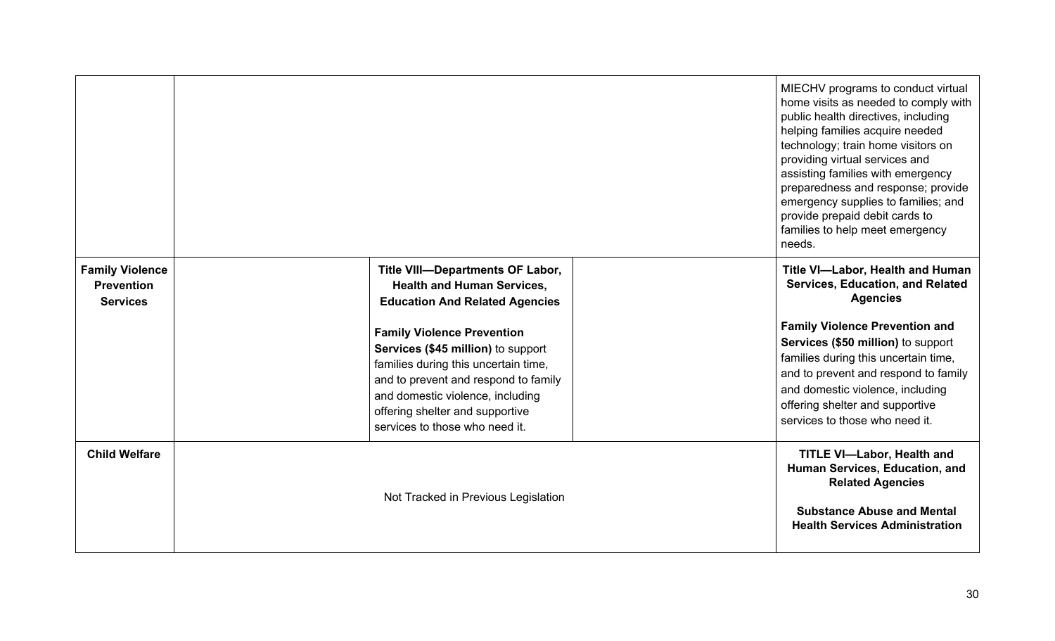|                                                                |                                                                                                                                                                                                                                                                  | MIECHV programs to conduct virtual<br>home visits as needed to comply with<br>public health directives, including<br>helping families acquire needed<br>technology; train home visitors on<br>providing virtual services and<br>assisting families with emergency<br>preparedness and response; provide<br>emergency supplies to families; and<br>provide prepaid debit cards to<br>families to help meet emergency<br>needs. |
|----------------------------------------------------------------|------------------------------------------------------------------------------------------------------------------------------------------------------------------------------------------------------------------------------------------------------------------|-------------------------------------------------------------------------------------------------------------------------------------------------------------------------------------------------------------------------------------------------------------------------------------------------------------------------------------------------------------------------------------------------------------------------------|
| <b>Family Violence</b><br><b>Prevention</b><br><b>Services</b> | Title VIII-Departments OF Labor,<br><b>Health and Human Services,</b><br><b>Education And Related Agencies</b>                                                                                                                                                   | Title VI-Labor, Health and Human<br>Services, Education, and Related<br><b>Agencies</b>                                                                                                                                                                                                                                                                                                                                       |
|                                                                | <b>Family Violence Prevention</b><br>Services (\$45 million) to support<br>families during this uncertain time,<br>and to prevent and respond to family<br>and domestic violence, including<br>offering shelter and supportive<br>services to those who need it. | <b>Family Violence Prevention and</b><br>Services (\$50 million) to support<br>families during this uncertain time,<br>and to prevent and respond to family<br>and domestic violence, including<br>offering shelter and supportive<br>services to those who need it.                                                                                                                                                          |
| <b>Child Welfare</b>                                           | Not Tracked in Previous Legislation                                                                                                                                                                                                                              | <b>TITLE VI-Labor, Health and</b><br>Human Services, Education, and<br><b>Related Agencies</b><br><b>Substance Abuse and Mental</b><br><b>Health Services Administration</b>                                                                                                                                                                                                                                                  |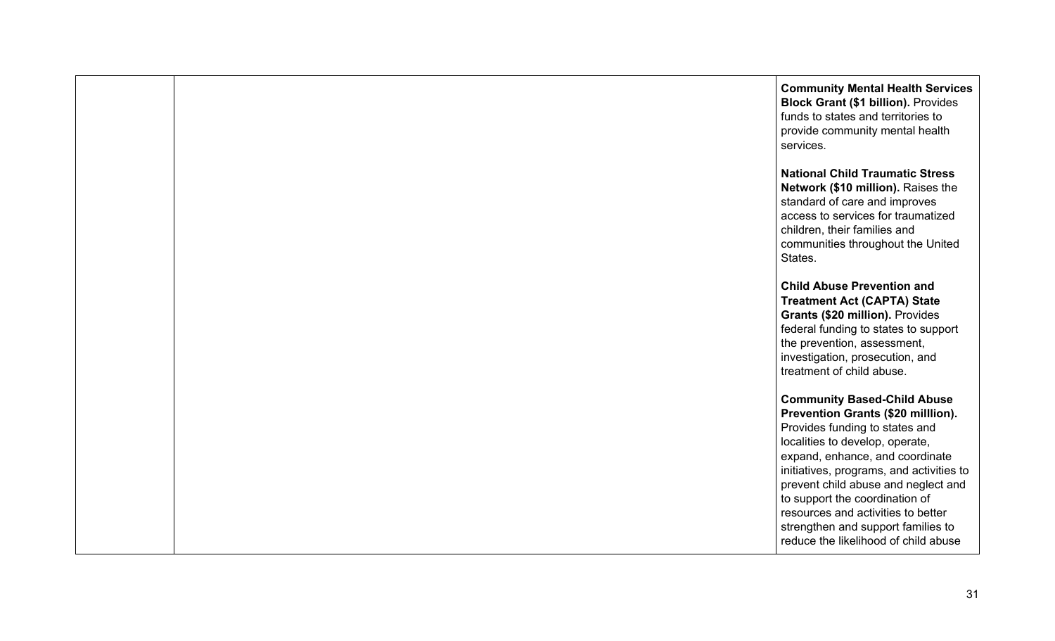**Community Mental Health Services Block Grant (\$1 billion).** Provides funds to states and territories to provide community mental health services.

**National Child Traumatic Stress Network (\$10 million).** Raises the standard of care and improves access to services for traumatized children, their families and communities throughout the United States.

**Child Abuse Prevention and Treatment Act (CAPTA) State Grants (\$20 million).** Provides federal funding to states to support the prevention, assessment, investigation, prosecution, and treatment of child abuse.

**Community Based-Child Abuse Prevention Grants (\$20 milllion).** Provides funding to states and localities to develop, operate, expand, enhance, and coordinate initiatives, programs, and activities to prevent child abuse and neglect and to support the coordination of resources and activities to better strengthen and support families to reduce the likelihood of child abuse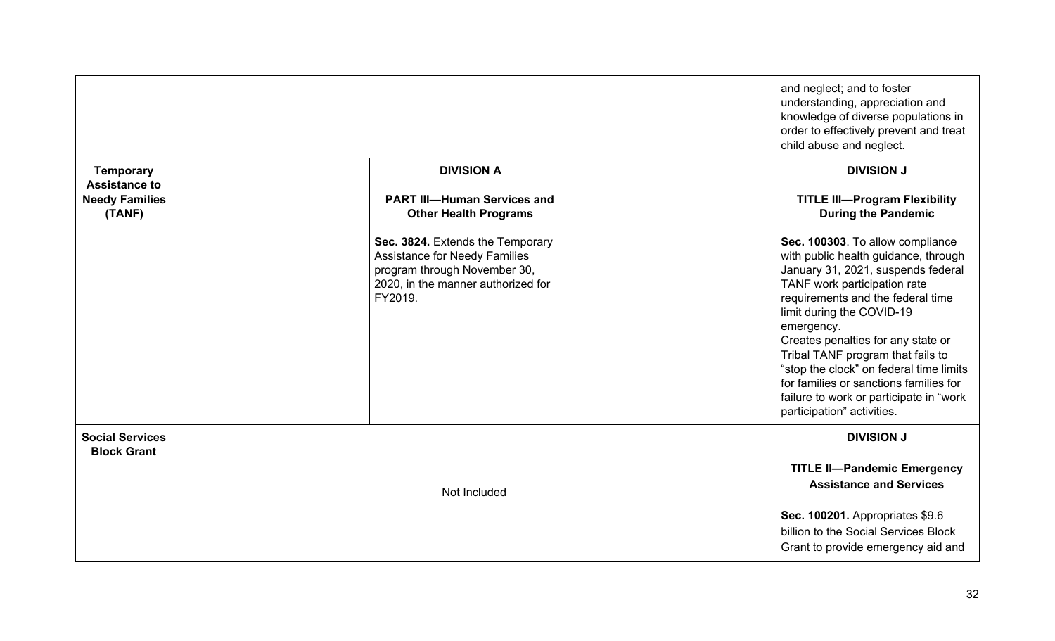|                                              |                                                                                                                                                           | and neglect; and to foster<br>understanding, appreciation and<br>knowledge of diverse populations in<br>order to effectively prevent and treat<br>child abuse and neglect.                                                                                                                                                                                                                                                                                              |
|----------------------------------------------|-----------------------------------------------------------------------------------------------------------------------------------------------------------|-------------------------------------------------------------------------------------------------------------------------------------------------------------------------------------------------------------------------------------------------------------------------------------------------------------------------------------------------------------------------------------------------------------------------------------------------------------------------|
| <b>Temporary</b><br><b>Assistance to</b>     | <b>DIVISION A</b>                                                                                                                                         | <b>DIVISION J</b>                                                                                                                                                                                                                                                                                                                                                                                                                                                       |
| <b>Needy Families</b><br>(TANF)              | <b>PART III-Human Services and</b><br><b>Other Health Programs</b>                                                                                        | <b>TITLE III-Program Flexibility</b><br><b>During the Pandemic</b>                                                                                                                                                                                                                                                                                                                                                                                                      |
|                                              | Sec. 3824. Extends the Temporary<br><b>Assistance for Needy Families</b><br>program through November 30,<br>2020, in the manner authorized for<br>FY2019. | Sec. 100303. To allow compliance<br>with public health guidance, through<br>January 31, 2021, suspends federal<br>TANF work participation rate<br>requirements and the federal time<br>limit during the COVID-19<br>emergency.<br>Creates penalties for any state or<br>Tribal TANF program that fails to<br>"stop the clock" on federal time limits<br>for families or sanctions families for<br>failure to work or participate in "work<br>participation" activities. |
| <b>Social Services</b><br><b>Block Grant</b> | Not Included                                                                                                                                              | <b>DIVISION J</b><br><b>TITLE II-Pandemic Emergency</b><br><b>Assistance and Services</b>                                                                                                                                                                                                                                                                                                                                                                               |
|                                              |                                                                                                                                                           | Sec. 100201. Appropriates \$9.6<br>billion to the Social Services Block<br>Grant to provide emergency aid and                                                                                                                                                                                                                                                                                                                                                           |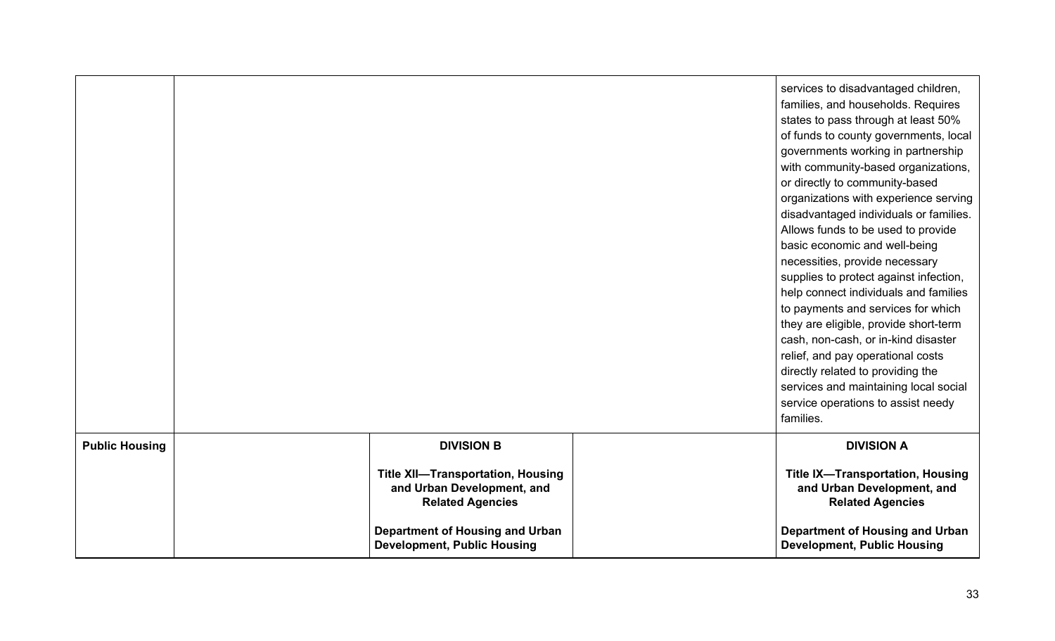|                       |                                                                                                   | services to disadvantaged children,<br>families, and households. Requires<br>states to pass through at least 50%<br>of funds to county governments, local<br>governments working in partnership<br>with community-based organizations,<br>or directly to community-based<br>organizations with experience serving<br>disadvantaged individuals or families.<br>Allows funds to be used to provide<br>basic economic and well-being<br>necessities, provide necessary<br>supplies to protect against infection,<br>help connect individuals and families<br>to payments and services for which<br>they are eligible, provide short-term<br>cash, non-cash, or in-kind disaster<br>relief, and pay operational costs<br>directly related to providing the<br>services and maintaining local social<br>service operations to assist needy<br>families. |
|-----------------------|---------------------------------------------------------------------------------------------------|-----------------------------------------------------------------------------------------------------------------------------------------------------------------------------------------------------------------------------------------------------------------------------------------------------------------------------------------------------------------------------------------------------------------------------------------------------------------------------------------------------------------------------------------------------------------------------------------------------------------------------------------------------------------------------------------------------------------------------------------------------------------------------------------------------------------------------------------------------|
| <b>Public Housing</b> | <b>DIVISION B</b>                                                                                 | <b>DIVISION A</b>                                                                                                                                                                                                                                                                                                                                                                                                                                                                                                                                                                                                                                                                                                                                                                                                                                   |
|                       | <b>Title XII-Transportation, Housing</b><br>and Urban Development, and<br><b>Related Agencies</b> | <b>Title IX-Transportation, Housing</b><br>and Urban Development, and<br><b>Related Agencies</b>                                                                                                                                                                                                                                                                                                                                                                                                                                                                                                                                                                                                                                                                                                                                                    |
|                       | <b>Department of Housing and Urban</b><br><b>Development, Public Housing</b>                      | Department of Housing and Urban<br><b>Development, Public Housing</b>                                                                                                                                                                                                                                                                                                                                                                                                                                                                                                                                                                                                                                                                                                                                                                               |